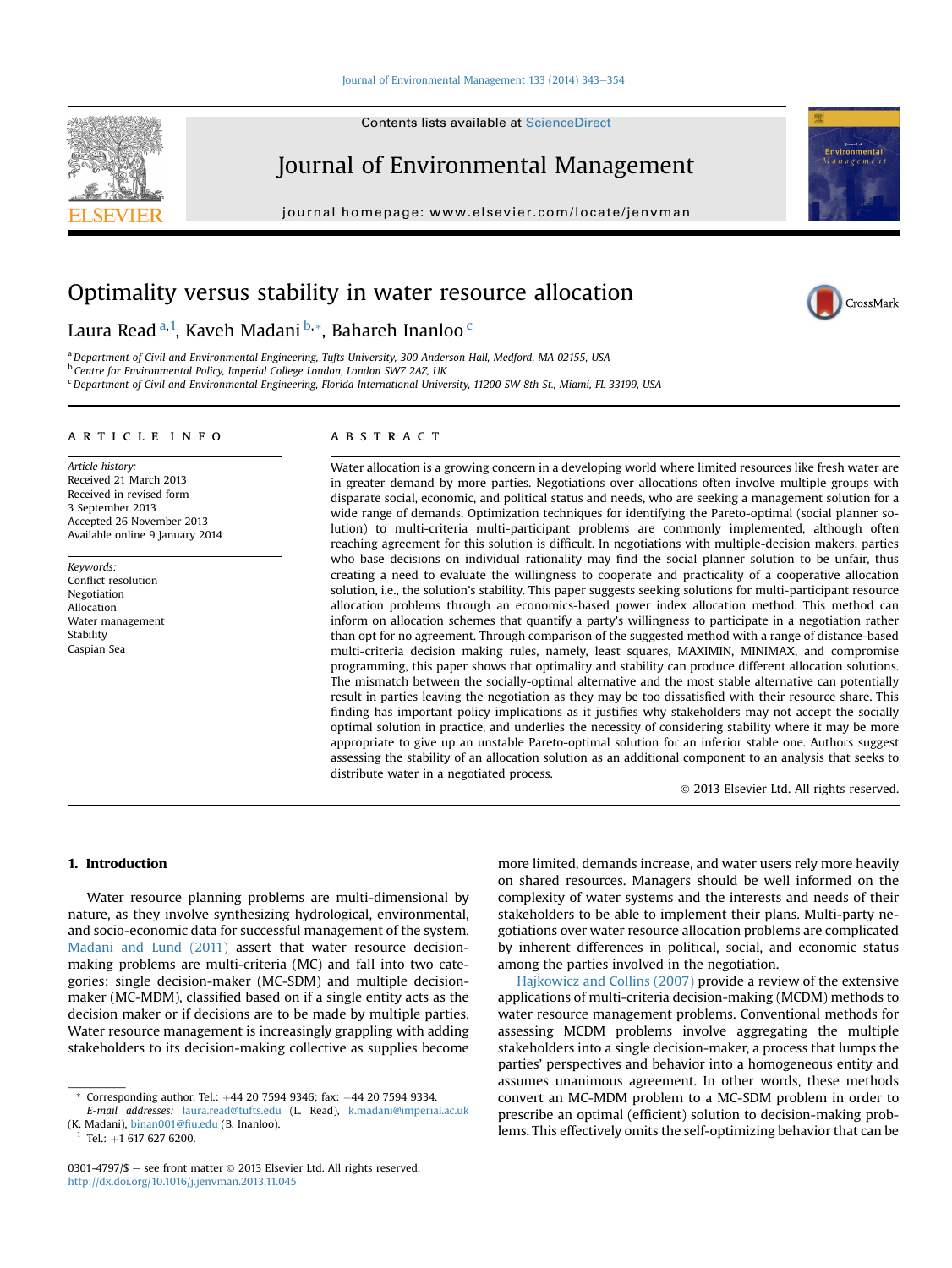## [Journal of Environmental Management 133 \(2014\) 343](http://dx.doi.org/10.1016/j.jenvman.2013.11.045)-[354](http://dx.doi.org/10.1016/j.jenvman.2013.11.045)

Contents lists available at ScienceDirect

## Journal of Environmental Management

journal homepage: [www.elsevier.com/locate/jenvman](http://www.elsevier.com/locate/jenvman)

# Optimality versus stability in water resource allocation

## Laura Read <sup>a, 1</sup>, Kaveh Madani <sup>b,</sup> \*, Bahareh Inanloo <sup>c</sup>

a Department of Civil and Environmental Engineering, Tufts University, 300 Anderson Hall, Medford, MA 02155, USA

**b** Centre for Environmental Policy, Imperial College London, London SW7 2AZ, UK

<sup>c</sup> Department of Civil and Environmental Engineering, Florida International University, 11200 SW 8th St., Miami, FL 33199, USA

## article info

Article history: Received 21 March 2013 Received in revised form 3 September 2013 Accepted 26 November 2013 Available online 9 January 2014

Keywords: Conflict resolution Negotiation Allocation Water management Stability Caspian Sea

## **ABSTRACT**

Water allocation is a growing concern in a developing world where limited resources like fresh water are in greater demand by more parties. Negotiations over allocations often involve multiple groups with disparate social, economic, and political status and needs, who are seeking a management solution for a wide range of demands. Optimization techniques for identifying the Pareto-optimal (social planner solution) to multi-criteria multi-participant problems are commonly implemented, although often reaching agreement for this solution is difficult. In negotiations with multiple-decision makers, parties who base decisions on individual rationality may find the social planner solution to be unfair, thus creating a need to evaluate the willingness to cooperate and practicality of a cooperative allocation solution, i.e., the solution's stability. This paper suggests seeking solutions for multi-participant resource allocation problems through an economics-based power index allocation method. This method can inform on allocation schemes that quantify a party's willingness to participate in a negotiation rather than opt for no agreement. Through comparison of the suggested method with a range of distance-based multi-criteria decision making rules, namely, least squares, MAXIMIN, MINIMAX, and compromise programming, this paper shows that optimality and stability can produce different allocation solutions. The mismatch between the socially-optimal alternative and the most stable alternative can potentially result in parties leaving the negotiation as they may be too dissatisfied with their resource share. This finding has important policy implications as it justifies why stakeholders may not accept the socially optimal solution in practice, and underlies the necessity of considering stability where it may be more appropriate to give up an unstable Pareto-optimal solution for an inferior stable one. Authors suggest assessing the stability of an allocation solution as an additional component to an analysis that seeks to distribute water in a negotiated process.

2013 Elsevier Ltd. All rights reserved.

## 1. Introduction

Water resource planning problems are multi-dimensional by nature, as they involve synthesizing hydrological, environmental, and socio-economic data for successful management of the system. [Madani and Lund \(2011\)](#page-10-0) assert that water resource decisionmaking problems are multi-criteria (MC) and fall into two categories: single decision-maker (MC-SDM) and multiple decisionmaker (MC-MDM), classified based on if a single entity acts as the decision maker or if decisions are to be made by multiple parties. Water resource management is increasingly grappling with adding stakeholders to its decision-making collective as supplies become more limited, demands increase, and water users rely more heavily on shared resources. Managers should be well informed on the complexity of water systems and the interests and needs of their stakeholders to be able to implement their plans. Multi-party negotiations over water resource allocation problems are complicated by inherent differences in political, social, and economic status among the parties involved in the negotiation.

[Hajkowicz and Collins \(2007\)](#page-10-0) provide a review of the extensive applications of multi-criteria decision-making (MCDM) methods to water resource management problems. Conventional methods for assessing MCDM problems involve aggregating the multiple stakeholders into a single decision-maker, a process that lumps the parties' perspectives and behavior into a homogeneous entity and assumes unanimous agreement. In other words, these methods convert an MC-MDM problem to a MC-SDM problem in order to prescribe an optimal (efficient) solution to decision-making problems. This effectively omits the self-optimizing behavior that can be







Corresponding author. Tel.: +44 20 7594 9346; fax: +44 20 7594 9334. E-mail addresses: [laura.read@tufts.edu](mailto:laura.read@tufts.edu) (L. Read), [k.madani@imperial.ac.uk](mailto:k.madani@imperial.ac.uk)

<sup>(</sup>K. Madani), [binan001@](mailto:binan001@fiu.edu)fiu.edu (B. Inanloo).

 $Tel: +1 617 627 6200$ 

<sup>0301-4797/\$ -</sup> see front matter  $\odot$  2013 Elsevier Ltd. All rights reserved. <http://dx.doi.org/10.1016/j.jenvman.2013.11.045>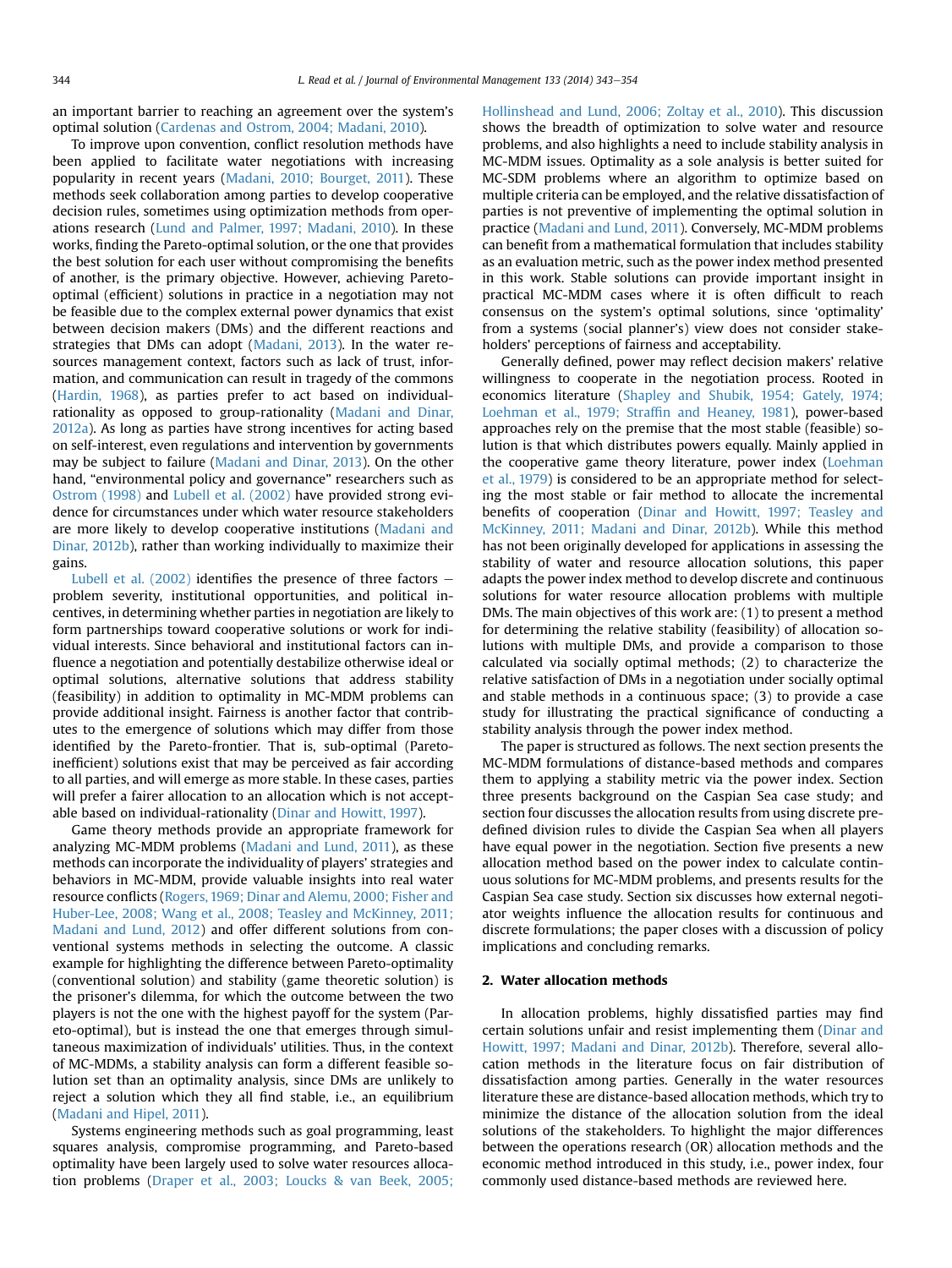<span id="page-1-0"></span>an important barrier to reaching an agreement over the system's optimal solution ([Cardenas and Ostrom, 2004; Madani, 2010](#page-10-0)).

To improve upon convention, conflict resolution methods have been applied to facilitate water negotiations with increasing popularity in recent years [\(Madani, 2010; Bourget, 2011](#page-10-0)). These methods seek collaboration among parties to develop cooperative decision rules, sometimes using optimization methods from operations research [\(Lund and Palmer, 1997; Madani, 2010](#page-10-0)). In these works, finding the Pareto-optimal solution, or the one that provides the best solution for each user without compromising the benefits of another, is the primary objective. However, achieving Paretooptimal (efficient) solutions in practice in a negotiation may not be feasible due to the complex external power dynamics that exist between decision makers (DMs) and the different reactions and strategies that DMs can adopt ([Madani, 2013](#page-10-0)). In the water resources management context, factors such as lack of trust, information, and communication can result in tragedy of the commons ([Hardin, 1968](#page-10-0)), as parties prefer to act based on individualrationality as opposed to group-rationality ([Madani and Dinar,](#page-10-0) [2012a](#page-10-0)). As long as parties have strong incentives for acting based on self-interest, even regulations and intervention by governments may be subject to failure ([Madani and Dinar, 2013\)](#page-10-0). On the other hand, "environmental policy and governance" researchers such as [Ostrom \(1998\)](#page-10-0) and [Lubell et al. \(2002\)](#page-10-0) have provided strong evidence for circumstances under which water resource stakeholders are more likely to develop cooperative institutions ([Madani and](#page-10-0) [Dinar, 2012b\)](#page-10-0), rather than working individually to maximize their gains.

[Lubell et al. \(2002\)](#page-10-0) identifies the presence of three factors  $$ problem severity, institutional opportunities, and political incentives, in determining whether parties in negotiation are likely to form partnerships toward cooperative solutions or work for individual interests. Since behavioral and institutional factors can influence a negotiation and potentially destabilize otherwise ideal or optimal solutions, alternative solutions that address stability (feasibility) in addition to optimality in MC-MDM problems can provide additional insight. Fairness is another factor that contributes to the emergence of solutions which may differ from those identified by the Pareto-frontier. That is, sub-optimal (Paretoinefficient) solutions exist that may be perceived as fair according to all parties, and will emerge as more stable. In these cases, parties will prefer a fairer allocation to an allocation which is not acceptable based on individual-rationality [\(Dinar and Howitt, 1997\)](#page-10-0).

Game theory methods provide an appropriate framework for analyzing MC-MDM problems [\(Madani and Lund, 2011\)](#page-10-0), as these methods can incorporate the individuality of players' strategies and behaviors in MC-MDM, provide valuable insights into real water resource conflicts [\(Rogers, 1969; Dinar and Alemu, 2000; Fisher and](#page-10-0) [Huber-Lee, 2008; Wang et al., 2008; Teasley and McKinney, 2011;](#page-10-0) [Madani and Lund, 2012](#page-10-0)) and offer different solutions from conventional systems methods in selecting the outcome. A classic example for highlighting the difference between Pareto-optimality (conventional solution) and stability (game theoretic solution) is the prisoner's dilemma, for which the outcome between the two players is not the one with the highest payoff for the system (Pareto-optimal), but is instead the one that emerges through simultaneous maximization of individuals' utilities. Thus, in the context of MC-MDMs, a stability analysis can form a different feasible solution set than an optimality analysis, since DMs are unlikely to reject a solution which they all find stable, i.e., an equilibrium ([Madani and Hipel, 2011\)](#page-10-0).

Systems engineering methods such as goal programming, least squares analysis, compromise programming, and Pareto-based optimality have been largely used to solve water resources allocation problems [\(Draper et al., 2003; Loucks & van Beek, 2005;](#page-10-0) [Hollinshead and Lund, 2006; Zoltay et al., 2010\)](#page-10-0). This discussion shows the breadth of optimization to solve water and resource problems, and also highlights a need to include stability analysis in MC-MDM issues. Optimality as a sole analysis is better suited for MC-SDM problems where an algorithm to optimize based on multiple criteria can be employed, and the relative dissatisfaction of parties is not preventive of implementing the optimal solution in practice [\(Madani and Lund, 2011](#page-10-0)). Conversely, MC-MDM problems can benefit from a mathematical formulation that includes stability as an evaluation metric, such as the power index method presented in this work. Stable solutions can provide important insight in practical MC-MDM cases where it is often difficult to reach consensus on the system's optimal solutions, since 'optimality' from a systems (social planner's) view does not consider stakeholders' perceptions of fairness and acceptability.

Generally defined, power may reflect decision makers' relative willingness to cooperate in the negotiation process. Rooted in economics literature [\(Shapley and Shubik, 1954; Gately, 1974;](#page-10-0) [Loehman et al., 1979; Straf](#page-10-0)fin and Heaney, 1981), power-based approaches rely on the premise that the most stable (feasible) solution is that which distributes powers equally. Mainly applied in the cooperative game theory literature, power index [\(Loehman](#page-10-0) [et al., 1979\)](#page-10-0) is considered to be an appropriate method for selecting the most stable or fair method to allocate the incremental benefits of cooperation ([Dinar and Howitt, 1997; Teasley and](#page-10-0) [McKinney, 2011; Madani and Dinar, 2012b\)](#page-10-0). While this method has not been originally developed for applications in assessing the stability of water and resource allocation solutions, this paper adapts the power index method to develop discrete and continuous solutions for water resource allocation problems with multiple DMs. The main objectives of this work are: (1) to present a method for determining the relative stability (feasibility) of allocation solutions with multiple DMs, and provide a comparison to those calculated via socially optimal methods; (2) to characterize the relative satisfaction of DMs in a negotiation under socially optimal and stable methods in a continuous space; (3) to provide a case study for illustrating the practical significance of conducting a stability analysis through the power index method.

The paper is structured as follows. The next section presents the MC-MDM formulations of distance-based methods and compares them to applying a stability metric via the power index. Section three presents background on the Caspian Sea case study; and section four discusses the allocation results from using discrete predefined division rules to divide the Caspian Sea when all players have equal power in the negotiation. Section five presents a new allocation method based on the power index to calculate continuous solutions for MC-MDM problems, and presents results for the Caspian Sea case study. Section six discusses how external negotiator weights influence the allocation results for continuous and discrete formulations; the paper closes with a discussion of policy implications and concluding remarks.

#### 2. Water allocation methods

In allocation problems, highly dissatisfied parties may find certain solutions unfair and resist implementing them [\(Dinar and](#page-10-0) [Howitt, 1997; Madani and Dinar, 2012b\)](#page-10-0). Therefore, several allocation methods in the literature focus on fair distribution of dissatisfaction among parties. Generally in the water resources literature these are distance-based allocation methods, which try to minimize the distance of the allocation solution from the ideal solutions of the stakeholders. To highlight the major differences between the operations research (OR) allocation methods and the economic method introduced in this study, i.e., power index, four commonly used distance-based methods are reviewed here.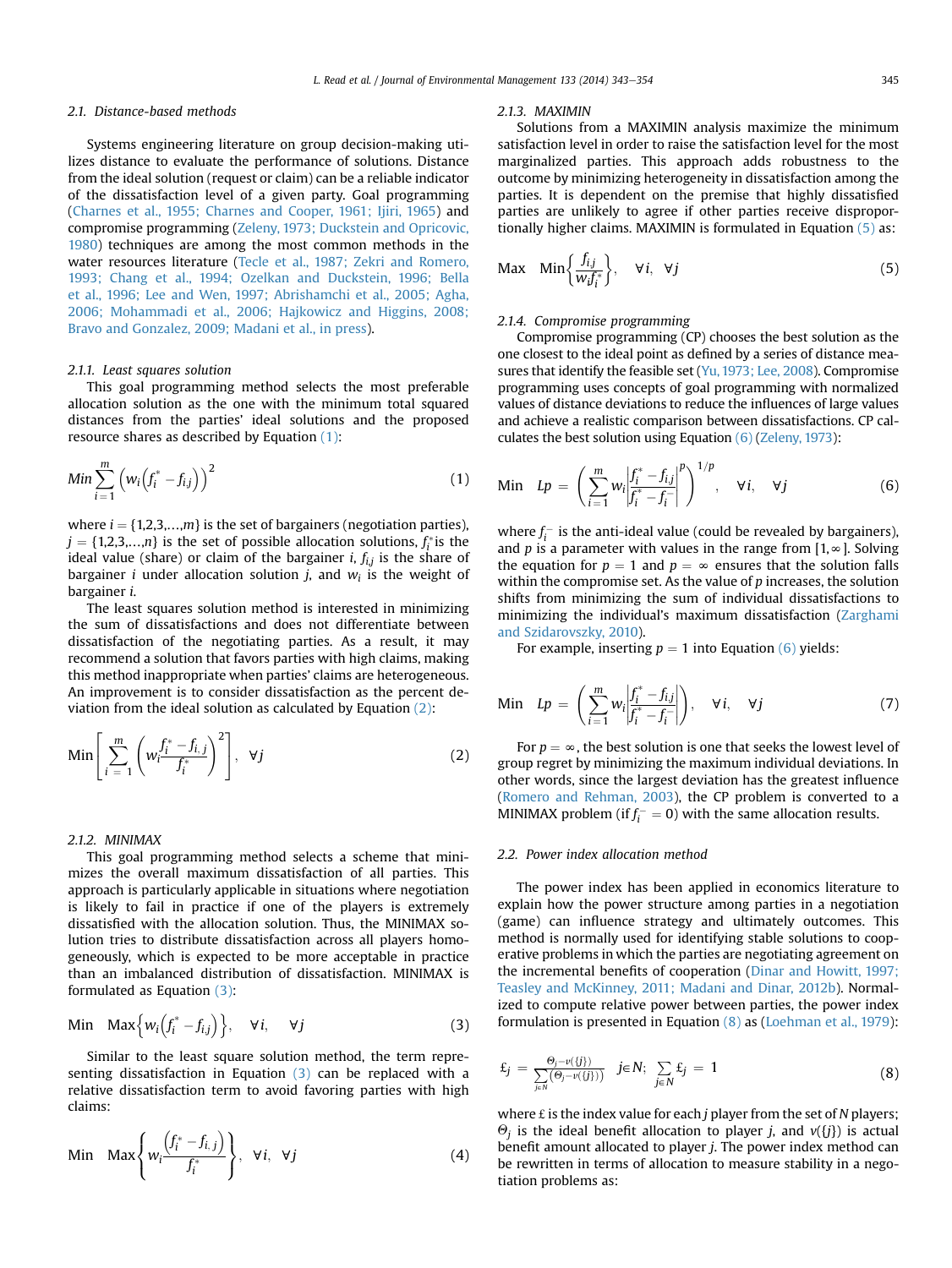#### <span id="page-2-0"></span>2.1. Distance-based methods

Systems engineering literature on group decision-making utilizes distance to evaluate the performance of solutions. Distance from the ideal solution (request or claim) can be a reliable indicator of the dissatisfaction level of a given party. Goal programming ([Charnes et al., 1955; Charnes and Cooper, 1961; Ijiri, 1965\)](#page-10-0) and compromise programming ([Zeleny, 1973; Duckstein and Opricovic,](#page-11-0) [1980\)](#page-11-0) techniques are among the most common methods in the water resources literature [\(Tecle et al., 1987; Zekri and Romero,](#page-10-0) [1993; Chang et al., 1994; Ozelkan and Duckstein, 1996; Bella](#page-10-0) [et al., 1996; Lee and Wen, 1997; Abrishamchi et al., 2005; Agha,](#page-10-0) [2006; Mohammadi et al., 2006; Hajkowicz and Higgins, 2008;](#page-10-0) [Bravo and Gonzalez, 2009; Madani et al., in press](#page-10-0)).

#### 2.1.1. Least squares solution

This goal programming method selects the most preferable allocation solution as the one with the minimum total squared distances from the parties' ideal solutions and the proposed resource shares as described by Equation (1):

$$
Min\sum_{i=1}^{m} \left( w_i \left( f_i^* - f_{i,j} \right) \right)^2 \tag{1}
$$

where  $i = \{1,2,3,...,m\}$  is the set of bargainers (negotiation parties),  $j = \{1,2,3,...,n\}$  is the set of possible allocation solutions,  $f_i^*$  is the ideal value (share) or claim of the bargainer i. f. is the share of ideal value (share) or claim of the bargainer *i*,  $f_{i,j}$  is the share of bargainer *i* under allocation solution *j*, and  $w_i$  is the weight of bargainer i.

The least squares solution method is interested in minimizing the sum of dissatisfactions and does not differentiate between dissatisfaction of the negotiating parties. As a result, it may recommend a solution that favors parties with high claims, making this method inappropriate when parties' claims are heterogeneous. An improvement is to consider dissatisfaction as the percent deviation from the ideal solution as calculated by Equation (2):

$$
\text{Min}\left[\sum_{i=1}^{m} \left(w_i \frac{f_i^* - f_{i,j}}{f_i^*}\right)^2\right], \ \forall j
$$
\n
$$
(2)
$$

## 2.1.2. MINIMAX

This goal programming method selects a scheme that minimizes the overall maximum dissatisfaction of all parties. This approach is particularly applicable in situations where negotiation is likely to fail in practice if one of the players is extremely dissatisfied with the allocation solution. Thus, the MINIMAX solution tries to distribute dissatisfaction across all players homogeneously, which is expected to be more acceptable in practice than an imbalanced distribution of dissatisfaction. MINIMAX is formulated as Equation (3):

$$
\text{Min } \text{Max}\Big\{w_i\Big(f_i^*-f_{i,j}\Big)\Big\}, \quad \forall i, \quad \forall j \tag{3}
$$

Similar to the least square solution method, the term representing dissatisfaction in Equation (3) can be replaced with a relative dissatisfaction term to avoid favoring parties with high claims:

Min Max 
$$
\left\{ w_i \frac{\left(f_i^* - f_{i,j}\right)}{f_i^*} \right\}
$$
,  $\forall i, \forall j$  (4)

#### 2.1.3. MAXIMIN

Solutions from a MAXIMIN analysis maximize the minimum satisfaction level in order to raise the satisfaction level for the most marginalized parties. This approach adds robustness to the outcome by minimizing heterogeneity in dissatisfaction among the parties. It is dependent on the premise that highly dissatisfied parties are unlikely to agree if other parties receive disproportionally higher claims. MAXIMIN is formulated in Equation (5) as:

$$
\text{Max} \quad \text{Min}\left\{\frac{f_{i,j}}{wf_i^*}\right\}, \quad \forall i, \ \forall j \tag{5}
$$

## 2.1.4. Compromise programming

Compromise programming (CP) chooses the best solution as the one closest to the ideal point as defined by a series of distance measures that identify the feasible set [\(Yu, 1973; Lee, 2008\)](#page-10-0). Compromise programming uses concepts of goal programming with normalized values of distance deviations to reduce the influences of large values and achieve a realistic comparison between dissatisfactions. CP calculates the best solution using Equation (6) ([Zeleny, 1973](#page-11-0)):

$$
\text{Min} \quad Lp = \left(\sum_{i=1}^{m} w_i \left| \frac{f_i^* - f_{ij}}{f_i^* - f_i^-} \right|^p \right)^{1/p}, \quad \forall i, \quad \forall j \tag{6}
$$

where  $f_i^-$  is the anti-ideal value (could be revealed by bargainers), and p is a parameter with values in the range from  $[1,\infty]$ . Solving the equation for  $p = 1$  and  $p = \infty$  ensures that the solution falls within the compromise set. As the value of  $p$  increases, the solution shifts from minimizing the sum of individual dissatisfactions to minimizing the individual's maximum dissatisfaction ([Zarghami](#page-11-0) [and Szidarovszky, 2010](#page-11-0)).

For example, inserting  $p = 1$  into Equation (6) yields:

Min 
$$
lp = \left(\sum_{i=1}^{m} w_i \left| \frac{f_i^* - f_{i,j}}{f_i^* - f_i^-} \right|\right), \quad \forall i, \quad \forall j
$$
 (7)

For  $p = \infty$ , the best solution is one that seeks the lowest level of group regret by minimizing the maximum individual deviations. In other words, since the largest deviation has the greatest influence ([Romero and Rehman, 2003\)](#page-10-0), the CP problem is converted to a MINIMAX problem (if  $f_i^- = 0$ ) with the same allocation results.

## 2.2. Power index allocation method

The power index has been applied in economics literature to explain how the power structure among parties in a negotiation (game) can influence strategy and ultimately outcomes. This method is normally used for identifying stable solutions to cooperative problems in which the parties are negotiating agreement on the incremental benefits of cooperation ([Dinar and Howitt, 1997;](#page-10-0) [Teasley and McKinney, 2011; Madani and Dinar, 2012b\)](#page-10-0). Normalized to compute relative power between parties, the power index formulation is presented in Equation (8) as [\(Loehman et al., 1979\)](#page-10-0):

$$
\pounds_j = \frac{\Theta_j - \nu(\{j\})}{\sum_{j \in N} (\Theta_j - \nu(\{j\}))} \quad j \in N; \ \sum_{j \in N} \pounds_j = 1 \tag{8}
$$

where  $\pounds$  is the index value for each *j* player from the set of N players;  $\Theta_i$  is the ideal benefit allocation to player *j*, and  $v({j})$  is actual benefit amount allocated to player j. The power index method can be rewritten in terms of allocation to measure stability in a negotiation problems as: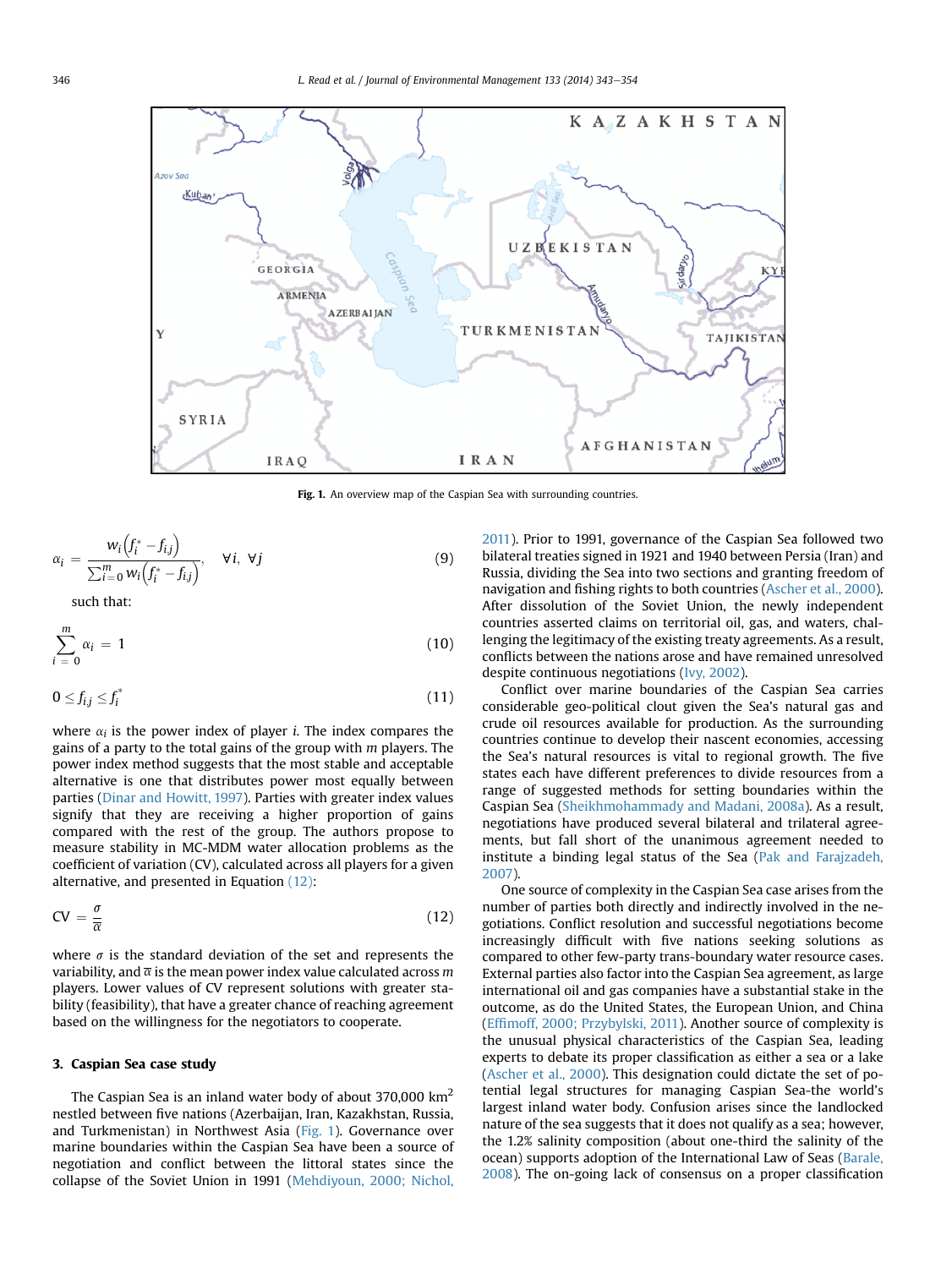<span id="page-3-0"></span>

Fig. 1. An overview map of the Caspian Sea with surrounding countries.

$$
\alpha_i = \frac{w_i(f_i^* - f_{i,j})}{\sum_{i=0}^m w_i(f_i^* - f_{i,j})}, \quad \forall i, \forall j
$$
\n(9)

such that:

$$
\sum_{i=0}^{m} \alpha_i = 1 \tag{10}
$$

$$
0 \le f_{i,j} \le f_i^* \tag{11}
$$

where  $\alpha_i$  is the power index of player *i*. The index compares the gains of a party to the total gains of the group with  $m$  players. The power index method suggests that the most stable and acceptable alternative is one that distributes power most equally between parties [\(Dinar and Howitt, 1997](#page-10-0)). Parties with greater index values signify that they are receiving a higher proportion of gains compared with the rest of the group. The authors propose to measure stability in MC-MDM water allocation problems as the coefficient of variation (CV), calculated across all players for a given alternative, and presented in Equation (12):

$$
CV = \frac{\sigma}{\overline{\alpha}} \tag{12}
$$

where  $\sigma$  is the standard deviation of the set and represents the variability, and  $\overline{\alpha}$  is the mean power index value calculated across m players. Lower values of CV represent solutions with greater stability (feasibility), that have a greater chance of reaching agreement based on the willingness for the negotiators to cooperate.

## 3. Caspian Sea case study

The Caspian Sea is an inland water body of about 370,000  $\text{km}^2$ nestled between five nations (Azerbaijan, Iran, Kazakhstan, Russia, and Turkmenistan) in Northwest Asia (Fig. 1). Governance over marine boundaries within the Caspian Sea have been a source of negotiation and conflict between the littoral states since the collapse of the Soviet Union in 1991 ([Mehdiyoun, 2000; Nichol,](#page-10-0) [2011\)](#page-10-0). Prior to 1991, governance of the Caspian Sea followed two bilateral treaties signed in 1921 and 1940 between Persia (Iran) and Russia, dividing the Sea into two sections and granting freedom of navigation and fishing rights to both countries ([Ascher et al., 2000\)](#page-10-0). After dissolution of the Soviet Union, the newly independent countries asserted claims on territorial oil, gas, and waters, challenging the legitimacy of the existing treaty agreements. As a result, conflicts between the nations arose and have remained unresolved despite continuous negotiations [\(Ivy, 2002](#page-10-0)).

Conflict over marine boundaries of the Caspian Sea carries considerable geo-political clout given the Sea's natural gas and crude oil resources available for production. As the surrounding countries continue to develop their nascent economies, accessing the Sea's natural resources is vital to regional growth. The five states each have different preferences to divide resources from a range of suggested methods for setting boundaries within the Caspian Sea [\(Sheikhmohammady and Madani, 2008a](#page-10-0)). As a result, negotiations have produced several bilateral and trilateral agreements, but fall short of the unanimous agreement needed to institute a binding legal status of the Sea ([Pak and Farajzadeh,](#page-10-0) [2007\)](#page-10-0).

One source of complexity in the Caspian Sea case arises from the number of parties both directly and indirectly involved in the negotiations. Conflict resolution and successful negotiations become increasingly difficult with five nations seeking solutions as compared to other few-party trans-boundary water resource cases. External parties also factor into the Caspian Sea agreement, as large international oil and gas companies have a substantial stake in the outcome, as do the United States, the European Union, and China (Effi[moff, 2000; Przybylski, 2011\)](#page-10-0). Another source of complexity is the unusual physical characteristics of the Caspian Sea, leading experts to debate its proper classification as either a sea or a lake ([Ascher et al., 2000\)](#page-10-0). This designation could dictate the set of potential legal structures for managing Caspian Sea-the world's largest inland water body. Confusion arises since the landlocked nature of the sea suggests that it does not qualify as a sea; however, the 1.2% salinity composition (about one-third the salinity of the ocean) supports adoption of the International Law of Seas ([Barale,](#page-10-0) [2008](#page-10-0)). The on-going lack of consensus on a proper classification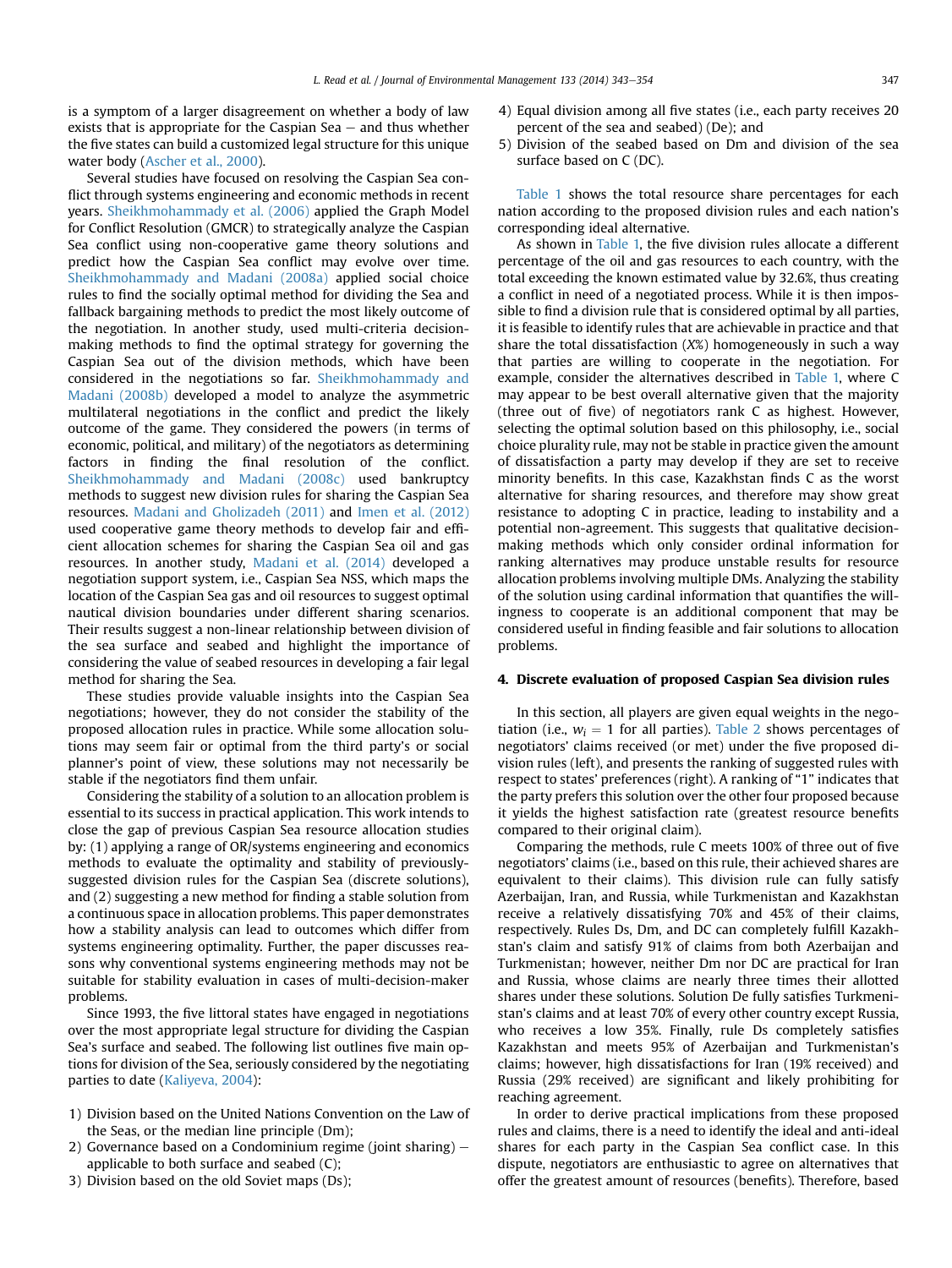<span id="page-4-0"></span>is a symptom of a larger disagreement on whether a body of law exists that is appropriate for the Caspian Sea  $-$  and thus whether the five states can build a customized legal structure for this unique water body [\(Ascher et al., 2000](#page-10-0)).

Several studies have focused on resolving the Caspian Sea conflict through systems engineering and economic methods in recent years. [Sheikhmohammady et al. \(2006\)](#page-10-0) applied the Graph Model for Conflict Resolution (GMCR) to strategically analyze the Caspian Sea conflict using non-cooperative game theory solutions and predict how the Caspian Sea conflict may evolve over time. [Sheikhmohammady and Madani \(2008a\)](#page-10-0) applied social choice rules to find the socially optimal method for dividing the Sea and fallback bargaining methods to predict the most likely outcome of the negotiation. In another study, used multi-criteria decisionmaking methods to find the optimal strategy for governing the Caspian Sea out of the division methods, which have been considered in the negotiations so far. [Sheikhmohammady and](#page-10-0) [Madani \(2008b\)](#page-10-0) developed a model to analyze the asymmetric multilateral negotiations in the conflict and predict the likely outcome of the game. They considered the powers (in terms of economic, political, and military) of the negotiators as determining factors in finding the final resolution of the conflict. [Sheikhmohammady and Madani \(2008c\)](#page-10-0) used bankruptcy methods to suggest new division rules for sharing the Caspian Sea resources. [Madani and Gholizadeh \(2011\)](#page-10-0) and [Imen et al. \(2012\)](#page-10-0) used cooperative game theory methods to develop fair and efficient allocation schemes for sharing the Caspian Sea oil and gas resources. In another study, [Madani et al. \(2014\)](#page-10-0) developed a negotiation support system, i.e., Caspian Sea NSS, which maps the location of the Caspian Sea gas and oil resources to suggest optimal nautical division boundaries under different sharing scenarios. Their results suggest a non-linear relationship between division of the sea surface and seabed and highlight the importance of considering the value of seabed resources in developing a fair legal method for sharing the Sea.

These studies provide valuable insights into the Caspian Sea negotiations; however, they do not consider the stability of the proposed allocation rules in practice. While some allocation solutions may seem fair or optimal from the third party's or social planner's point of view, these solutions may not necessarily be stable if the negotiators find them unfair.

Considering the stability of a solution to an allocation problem is essential to its success in practical application. This work intends to close the gap of previous Caspian Sea resource allocation studies by: (1) applying a range of OR/systems engineering and economics methods to evaluate the optimality and stability of previouslysuggested division rules for the Caspian Sea (discrete solutions), and (2) suggesting a new method for finding a stable solution from a continuous space in allocation problems. This paper demonstrates how a stability analysis can lead to outcomes which differ from systems engineering optimality. Further, the paper discusses reasons why conventional systems engineering methods may not be suitable for stability evaluation in cases of multi-decision-maker problems.

Since 1993, the five littoral states have engaged in negotiations over the most appropriate legal structure for dividing the Caspian Sea's surface and seabed. The following list outlines five main options for division of the Sea, seriously considered by the negotiating parties to date ([Kaliyeva, 2004](#page-10-0)):

- 1) Division based on the United Nations Convention on the Law of the Seas, or the median line principle (Dm);
- 2) Governance based on a Condominium regime (joint sharing)  $$ applicable to both surface and seabed (C);
- 3) Division based on the old Soviet maps (Ds);
- 4) Equal division among all five states (i.e., each party receives 20 percent of the sea and seabed) (De); and
- 5) Division of the seabed based on Dm and division of the sea surface based on C (DC).

[Table 1](#page-5-0) shows the total resource share percentages for each nation according to the proposed division rules and each nation's corresponding ideal alternative.

As shown in [Table 1,](#page-5-0) the five division rules allocate a different percentage of the oil and gas resources to each country, with the total exceeding the known estimated value by 32.6%, thus creating a conflict in need of a negotiated process. While it is then impossible to find a division rule that is considered optimal by all parties, it is feasible to identify rules that are achievable in practice and that share the total dissatisfaction (X%) homogeneously in such a way that parties are willing to cooperate in the negotiation. For example, consider the alternatives described in [Table 1,](#page-5-0) where C may appear to be best overall alternative given that the majority (three out of five) of negotiators rank C as highest. However, selecting the optimal solution based on this philosophy, i.e., social choice plurality rule, may not be stable in practice given the amount of dissatisfaction a party may develop if they are set to receive minority benefits. In this case, Kazakhstan finds C as the worst alternative for sharing resources, and therefore may show great resistance to adopting C in practice, leading to instability and a potential non-agreement. This suggests that qualitative decisionmaking methods which only consider ordinal information for ranking alternatives may produce unstable results for resource allocation problems involving multiple DMs. Analyzing the stability of the solution using cardinal information that quantifies the willingness to cooperate is an additional component that may be considered useful in finding feasible and fair solutions to allocation problems.

#### 4. Discrete evaluation of proposed Caspian Sea division rules

In this section, all players are given equal weights in the negotiation (i.e.,  $w_i = 1$  for all parties). [Table 2](#page-5-0) shows percentages of negotiators' claims received (or met) under the five proposed division rules (left), and presents the ranking of suggested rules with respect to states' preferences (right). A ranking of "1" indicates that the party prefers this solution over the other four proposed because it yields the highest satisfaction rate (greatest resource benefits compared to their original claim).

Comparing the methods, rule C meets 100% of three out of five negotiators' claims (i.e., based on this rule, their achieved shares are equivalent to their claims). This division rule can fully satisfy Azerbaijan, Iran, and Russia, while Turkmenistan and Kazakhstan receive a relatively dissatisfying 70% and 45% of their claims, respectively. Rules Ds, Dm, and DC can completely fulfill Kazakhstan's claim and satisfy 91% of claims from both Azerbaijan and Turkmenistan; however, neither Dm nor DC are practical for Iran and Russia, whose claims are nearly three times their allotted shares under these solutions. Solution De fully satisfies Turkmenistan's claims and at least 70% of every other country except Russia, who receives a low 35%. Finally, rule Ds completely satisfies Kazakhstan and meets 95% of Azerbaijan and Turkmenistan's claims; however, high dissatisfactions for Iran (19% received) and Russia (29% received) are significant and likely prohibiting for reaching agreement.

In order to derive practical implications from these proposed rules and claims, there is a need to identify the ideal and anti-ideal shares for each party in the Caspian Sea conflict case. In this dispute, negotiators are enthusiastic to agree on alternatives that offer the greatest amount of resources (benefits). Therefore, based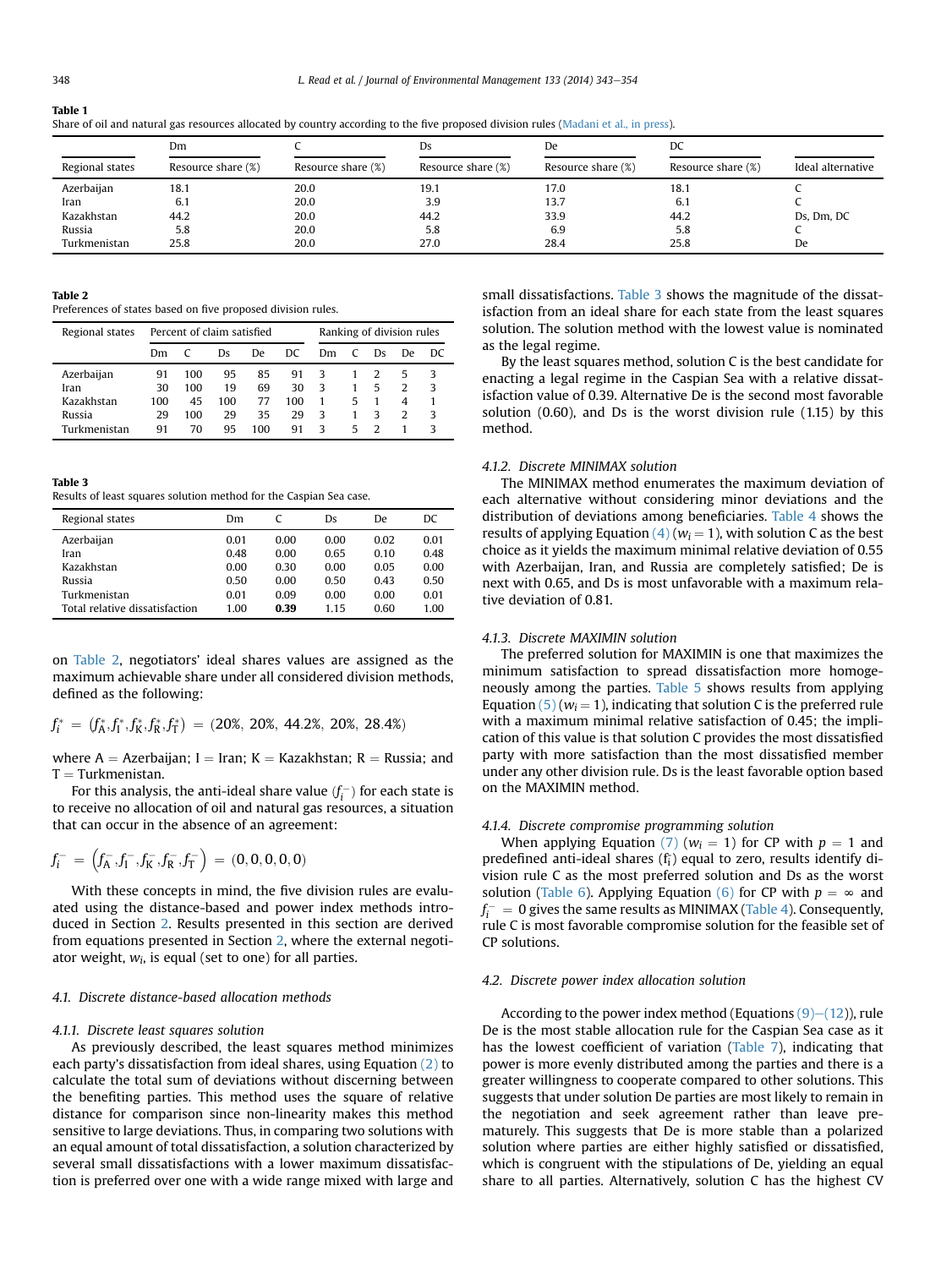#### <span id="page-5-0"></span>Table 1

Share of oil and natural gas resources allocated by country according to the five proposed division rules [\(Madani et al., in press\)](#page-10-0).

|                 | Dm                 |                    | Ds                 | De                 | DC                 |                   |
|-----------------|--------------------|--------------------|--------------------|--------------------|--------------------|-------------------|
| Regional states | Resource share (%) | Resource share (%) | Resource share (%) | Resource share (%) | Resource share (%) | Ideal alternative |
| Azerbaijan      | 18.1               | 20.0               | 19.1               | 17.0               | 18.1               |                   |
| Iran            | 6.1                | 20.0               | 3.9                | 13.7               | 6.1                |                   |
| Kazakhstan      | 44.2               | 20.0               | 44.2               | 33.9               | 44.2               | Ds, Dm, DC        |
| Russia          | 5.8                | 20.0               | 5.8                | 6.9                | 5.8                |                   |
| Turkmenistan    | 25.8               | 20.0               | 27.0               | 28.4               | 25.8               | De                |

#### Table 2

Preferences of states based on five proposed division rules.

| Regional states |     | Percent of claim satisfied |     |     |     |     |   |               | Ranking of division rules |    |
|-----------------|-----|----------------------------|-----|-----|-----|-----|---|---------------|---------------------------|----|
|                 | Dm  |                            | Ds. | De. | DC. | Dm. |   | Ds            | De                        | DC |
| Azerbaijan      | 91  | 100                        | 95  | 85  | 91  | 3   |   |               | 5                         |    |
| Iran            | 30  | 100                        | 19  | 69  | 30  | 3   |   | 5             | 2                         | 3  |
| Kazakhstan      | 100 | 45                         | 100 | 77  | 100 | 1   | 5 | 1             | 4                         |    |
| Russia          | 29  | 100                        | 29  | 35  | 29  | 3   |   | 3             | 2                         | 3  |
| Turkmenistan    | 91  | 70                         | 95  | 100 | 91  | 3   | 5 | $\mathcal{L}$ |                           | κ  |

#### Table 3

Results of least squares solution method for the Caspian Sea case.

| Regional states                | Dm   |      | Ds   | De   | DC.  |
|--------------------------------|------|------|------|------|------|
| Azerbaijan                     | 0.01 | 0.00 | 0.00 | 0.02 | 0.01 |
| Iran                           | 0.48 | 0.00 | 0.65 | 0.10 | 0.48 |
| Kazakhstan                     | 0.00 | 0.30 | 0.00 | 0.05 | 0.00 |
| Russia                         | 0.50 | 0.00 | 0.50 | 0.43 | 0.50 |
| Turkmenistan                   | 0.01 | 0.09 | 0.00 | 0.00 | 0.01 |
| Total relative dissatisfaction | 1.00 | 0.39 | 115  | 0.60 | 1.00 |

on Table 2, negotiators' ideal shares values are assigned as the maximum achievable share under all considered division methods, defined as the following:

 $f_i^* = (f_A^*, f_I^*, f_K^*, f_R^*, f_I^*) = (20\%, 20\%, 44.2\%, 20\%, 28.4\%)$ 

where  $A =$  Azerbaijan; I = Iran; K = Kazakhstan; R = Russia; and  $T =$ Turkmenistan.

For this analysis, the anti-ideal share value  $(f_i^-)$  for each state is<br>receive no allocation of oil and natural gas resources a situation to receive no allocation of oil and natural gas resources, a situation that can occur in the absence of an agreement:

$$
f_{i}^{-} = \left(f_{A}^{-}, f_{I}^{-}, f_{K}^{-}, f_{R}^{-}, f_{T}^{-}\right) = (0, 0, 0, 0, 0)
$$

With these concepts in mind, the five division rules are evaluated using the distance-based and power index methods introduced in Section [2.](#page-1-0) Results presented in this section are derived from equations presented in Section [2,](#page-1-0) where the external negotiator weight,  $w_i$ , is equal (set to one) for all parties.

## 4.1. Discrete distance-based allocation methods

#### 4.1.1. Discrete least squares solution

As previously described, the least squares method minimizes each party's dissatisfaction from ideal shares, using Equation [\(2\)](#page-2-0) to calculate the total sum of deviations without discerning between the benefiting parties. This method uses the square of relative distance for comparison since non-linearity makes this method sensitive to large deviations. Thus, in comparing two solutions with an equal amount of total dissatisfaction, a solution characterized by several small dissatisfactions with a lower maximum dissatisfaction is preferred over one with a wide range mixed with large and small dissatisfactions. Table 3 shows the magnitude of the dissatisfaction from an ideal share for each state from the least squares solution. The solution method with the lowest value is nominated as the legal regime.

By the least squares method, solution C is the best candidate for enacting a legal regime in the Caspian Sea with a relative dissatisfaction value of 0.39. Alternative De is the second most favorable solution (0.60), and Ds is the worst division rule (1.15) by this method.

## 4.1.2. Discrete MINIMAX solution

The MINIMAX method enumerates the maximum deviation of each alternative without considering minor deviations and the distribution of deviations among beneficiaries. [Table 4](#page-6-0) shows the results of applying Equation [\(4\)](#page-2-0) ( $w_i = 1$ ), with solution C as the best choice as it yields the maximum minimal relative deviation of 0.55 with Azerbaijan, Iran, and Russia are completely satisfied; De is next with 0.65, and Ds is most unfavorable with a maximum relative deviation of 0.81.

## 4.1.3. Discrete MAXIMIN solution

The preferred solution for MAXIMIN is one that maximizes the minimum satisfaction to spread dissatisfaction more homogeneously among the parties. [Table 5](#page-6-0) shows results from applying Equation [\(5\)](#page-2-0) ( $w_i = 1$ ), indicating that solution C is the preferred rule with a maximum minimal relative satisfaction of 0.45; the implication of this value is that solution C provides the most dissatisfied party with more satisfaction than the most dissatisfied member under any other division rule. Ds is the least favorable option based on the MAXIMIN method.

## 4.1.4. Discrete compromise programming solution

When applying Equation [\(7\)](#page-2-0) ( $w_i = 1$ ) for CP with  $p = 1$  and predefined anti-ideal shares (f<sub>i</sub>) equal to zero, results identify division rule C as the most preferred solution and Ds as the worst solution ([Table 6\)](#page-6-0). Applying Equation [\(6\)](#page-2-0) for CP with  $p = \infty$  and  $f_{i}^{-} = 0$  gives the same results as MINIMAX ([Table 4](#page-6-0)). Consequently,  $f_{i}$  and  $f$  is most favorable compromise solution for the feasible set of rule C is most favorable compromise solution for the feasible set of CP solutions.

## 4.2. Discrete power index allocation solution

According to the power index method (Equations  $(9)$ – $(12)$  $(12)$ ), rule De is the most stable allocation rule for the Caspian Sea case as it has the lowest coefficient of variation ([Table 7](#page-6-0)), indicating that power is more evenly distributed among the parties and there is a greater willingness to cooperate compared to other solutions. This suggests that under solution De parties are most likely to remain in the negotiation and seek agreement rather than leave prematurely. This suggests that De is more stable than a polarized solution where parties are either highly satisfied or dissatisfied, which is congruent with the stipulations of De, yielding an equal share to all parties. Alternatively, solution C has the highest CV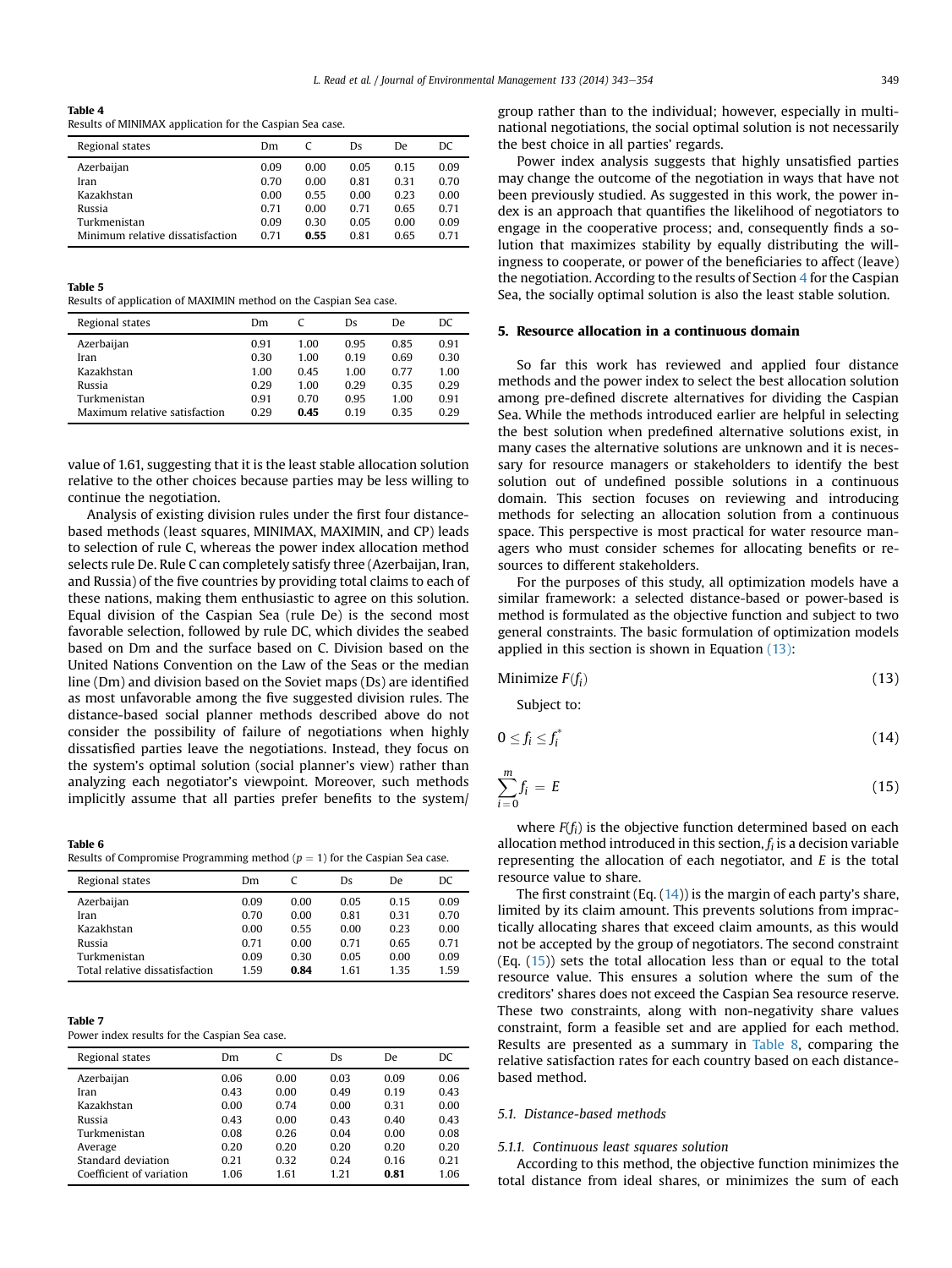## <span id="page-6-0"></span>Table 4

| Results of MINIMAX application for the Caspian Sea case. |  |  |  |
|----------------------------------------------------------|--|--|--|
|----------------------------------------------------------|--|--|--|

| Regional states                  | Dm.  |      | Ds.  | De   | DC.  |
|----------------------------------|------|------|------|------|------|
| Azerbaijan                       | 0.09 | 0.00 | 0.05 | 0.15 | 0.09 |
| Iran                             | 0.70 | 0.00 | 0.81 | 0.31 | 0.70 |
| Kazakhstan                       | 0.00 | 0.55 | 0.00 | 0.23 | 0.00 |
| Russia                           | 0.71 | 0.00 | 0.71 | 0.65 | 0.71 |
| Turkmenistan                     | 0.09 | 0.30 | 0.05 | 0.00 | 0.09 |
| Minimum relative dissatisfaction | 0.71 | 0.55 | 0.81 | 0.65 | 0.71 |
|                                  |      |      |      |      |      |

#### Table 5

Results of application of MAXIMIN method on the Caspian Sea case.

| Regional states               | Dm   |      | Ds.  | De   | DC.  |
|-------------------------------|------|------|------|------|------|
| Azerbaijan                    | 0.91 | 1.00 | 0.95 | 0.85 | 0.91 |
| Iran                          | 0.30 | 1.00 | 0.19 | 0.69 | 0.30 |
| Kazakhstan                    | 1.00 | 0.45 | 1.00 | 0.77 | 1.00 |
| Russia                        | 0.29 | 1.00 | 0.29 | 0.35 | 0.29 |
| Turkmenistan                  | 0.91 | 0.70 | 0.95 | 1.00 | 0.91 |
| Maximum relative satisfaction | 0.29 | 0.45 | 0.19 | 0.35 | 0.29 |
|                               |      |      |      |      |      |

value of 1.61, suggesting that it is the least stable allocation solution relative to the other choices because parties may be less willing to continue the negotiation.

Analysis of existing division rules under the first four distancebased methods (least squares, MINIMAX, MAXIMIN, and CP) leads to selection of rule C, whereas the power index allocation method selects rule De. Rule C can completely satisfy three (Azerbaijan, Iran, and Russia) of the five countries by providing total claims to each of these nations, making them enthusiastic to agree on this solution. Equal division of the Caspian Sea (rule De) is the second most favorable selection, followed by rule DC, which divides the seabed based on Dm and the surface based on C. Division based on the United Nations Convention on the Law of the Seas or the median line (Dm) and division based on the Soviet maps (Ds) are identified as most unfavorable among the five suggested division rules. The distance-based social planner methods described above do not consider the possibility of failure of negotiations when highly dissatisfied parties leave the negotiations. Instead, they focus on the system's optimal solution (social planner's view) rather than analyzing each negotiator's viewpoint. Moreover, such methods implicitly assume that all parties prefer benefits to the system/

#### Table 6

Results of Compromise Programming method ( $p = 1$ ) for the Caspian Sea case.

| Regional states                | Dm   |      | Ds.  | De   | DC.  |
|--------------------------------|------|------|------|------|------|
| Azerbaijan                     | 0.09 | 0.00 | 0.05 | 0.15 | 0.09 |
| Iran                           | 0.70 | 0.00 | 0.81 | 0.31 | 0.70 |
| Kazakhstan                     | 0.00 | 0.55 | 0.00 | 0.23 | 0.00 |
| Russia                         | 0.71 | 0.00 | 0.71 | 0.65 | 0.71 |
| Turkmenistan                   | 0.09 | 0.30 | 0.05 | 0.00 | 0.09 |
| Total relative dissatisfaction | 1.59 | 0.84 | 1.61 | 1.35 | 1.59 |

#### Table 7

Power index results for the Caspian Sea case.

| Regional states          | Dm   | C    | <b>Ds</b> | De.  | DC   |
|--------------------------|------|------|-----------|------|------|
| Azerbaijan               | 0.06 | 0.00 | 0.03      | 0.09 | 0.06 |
| Iran                     | 0.43 | 0.00 | 0.49      | 0.19 | 0.43 |
| Kazakhstan               | 0.00 | 0.74 | 0.00      | 0.31 | 0.00 |
| Russia                   | 0.43 | 0.00 | 0.43      | 0.40 | 0.43 |
| Turkmenistan             | 0.08 | 0.26 | 0.04      | 0.00 | 0.08 |
| Average                  | 0.20 | 0.20 | 0.20      | 0.20 | 0.20 |
| Standard deviation       | 0.21 | 0.32 | 0.24      | 0.16 | 0.21 |
| Coefficient of variation | 1.06 | 1.61 | 1.21      | 0.81 | 1.06 |

group rather than to the individual; however, especially in multinational negotiations, the social optimal solution is not necessarily the best choice in all parties' regards.

Power index analysis suggests that highly unsatisfied parties may change the outcome of the negotiation in ways that have not been previously studied. As suggested in this work, the power index is an approach that quantifies the likelihood of negotiators to engage in the cooperative process; and, consequently finds a solution that maximizes stability by equally distributing the willingness to cooperate, or power of the beneficiaries to affect (leave) the negotiation. According to the results of Section [4](#page-4-0) for the Caspian Sea, the socially optimal solution is also the least stable solution.

## 5. Resource allocation in a continuous domain

So far this work has reviewed and applied four distance methods and the power index to select the best allocation solution among pre-defined discrete alternatives for dividing the Caspian Sea. While the methods introduced earlier are helpful in selecting the best solution when predefined alternative solutions exist, in many cases the alternative solutions are unknown and it is necessary for resource managers or stakeholders to identify the best solution out of undefined possible solutions in a continuous domain. This section focuses on reviewing and introducing methods for selecting an allocation solution from a continuous space. This perspective is most practical for water resource managers who must consider schemes for allocating benefits or resources to different stakeholders.

For the purposes of this study, all optimization models have a similar framework: a selected distance-based or power-based is method is formulated as the objective function and subject to two general constraints. The basic formulation of optimization models applied in this section is shown in Equation  $(13)$ :

Minimize 
$$
F(f_i)
$$
 (13)

Subject to:

$$
0 \le f_i \le f_i^* \tag{14}
$$

$$
\sum_{i=0}^{m} f_i = E \tag{15}
$$

where  $F(f_i)$  is the objective function determined based on each allocation method introduced in this section,  $f_i$  is a decision variable representing the allocation of each negotiator, and  $E$  is the total resource value to share.

The first constraint (Eq.  $(14)$ ) is the margin of each party's share, limited by its claim amount. This prevents solutions from impractically allocating shares that exceed claim amounts, as this would not be accepted by the group of negotiators. The second constraint  $(Eq. (15))$  sets the total allocation less than or equal to the total resource value. This ensures a solution where the sum of the creditors' shares does not exceed the Caspian Sea resource reserve. These two constraints, along with non-negativity share values constraint, form a feasible set and are applied for each method. Results are presented as a summary in [Table 8,](#page-7-0) comparing the relative satisfaction rates for each country based on each distancebased method.

#### 5.1. Distance-based methods

## 5.1.1. Continuous least squares solution

According to this method, the objective function minimizes the total distance from ideal shares, or minimizes the sum of each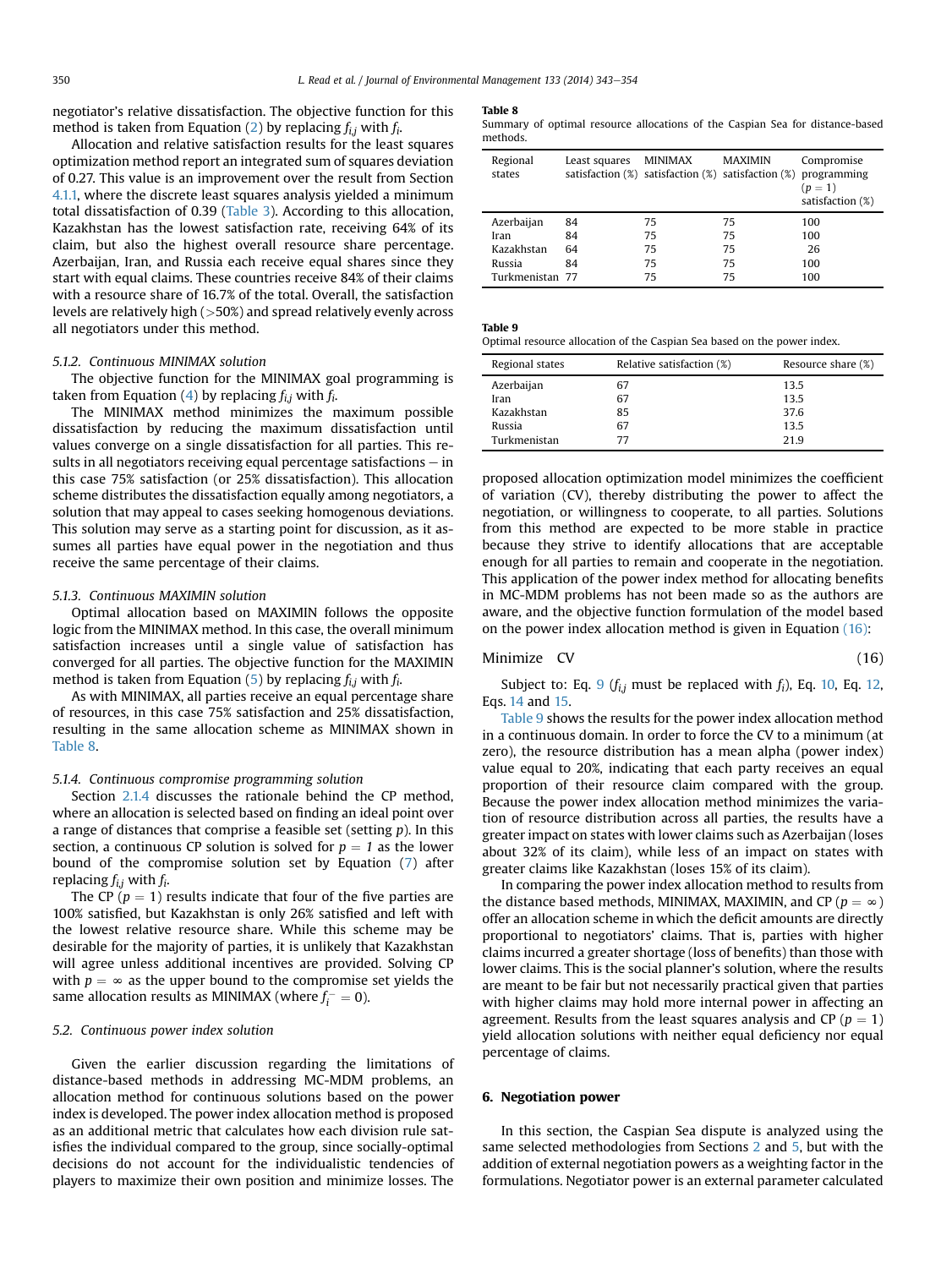<span id="page-7-0"></span>negotiator's relative dissatisfaction. The objective function for this method is taken from Equation ([2](#page-2-0)) by replacing  $f_{i,j}$  with  $f_i$ .

Allocation and relative satisfaction results for the least squares optimization method report an integrated sum of squares deviation of 0.27. This value is an improvement over the result from Section [4.1.1,](#page-5-0) where the discrete least squares analysis yielded a minimum total dissatisfaction of 0.39 ([Table 3](#page-5-0)). According to this allocation, Kazakhstan has the lowest satisfaction rate, receiving 64% of its claim, but also the highest overall resource share percentage. Azerbaijan, Iran, and Russia each receive equal shares since they start with equal claims. These countries receive 84% of their claims with a resource share of 16.7% of the total. Overall, the satisfaction levels are relatively high (>50%) and spread relatively evenly across all negotiators under this method.

#### 5.1.2. Continuous MINIMAX solution

The objective function for the MINIMAX goal programming is taken from Equation [\(4\)](#page-2-0) by replacing  $f_{i,j}$  with  $f_i$ .

The MINIMAX method minimizes the maximum possible dissatisfaction by reducing the maximum dissatisfaction until values converge on a single dissatisfaction for all parties. This results in all negotiators receiving equal percentage satisfactions  $-$  in this case 75% satisfaction (or 25% dissatisfaction). This allocation scheme distributes the dissatisfaction equally among negotiators, a solution that may appeal to cases seeking homogenous deviations. This solution may serve as a starting point for discussion, as it assumes all parties have equal power in the negotiation and thus receive the same percentage of their claims.

#### 5.1.3. Continuous MAXIMIN solution

Optimal allocation based on MAXIMIN follows the opposite logic from the MINIMAX method. In this case, the overall minimum satisfaction increases until a single value of satisfaction has converged for all parties. The objective function for the MAXIMIN method is taken from Equation ([5](#page-2-0)) by replacing  $f_{i,j}$  with  $f_i$ .

As with MINIMAX, all parties receive an equal percentage share of resources, in this case 75% satisfaction and 25% dissatisfaction, resulting in the same allocation scheme as MINIMAX shown in Table 8.

## 5.1.4. Continuous compromise programming solution

Section [2.1.4](#page-2-0) discusses the rationale behind the CP method, where an allocation is selected based on finding an ideal point over a range of distances that comprise a feasible set (setting  $p$ ). In this section, a continuous CP solution is solved for  $p = 1$  as the lower bound of the compromise solution set by Equation [\(7](#page-2-0)) after replacing  $f_{i,j}$  with  $f_i$ .

The CP ( $p = 1$ ) results indicate that four of the five parties are 100% satisfied, but Kazakhstan is only 26% satisfied and left with the lowest relative resource share. While this scheme may be desirable for the majority of parties, it is unlikely that Kazakhstan will agree unless additional incentives are provided. Solving CP with  $p = \infty$  as the upper bound to the compromise set yields the same allocation results as MINIMAX (where  $f_i^-=0$ ).

## 5.2. Continuous power index solution

Given the earlier discussion regarding the limitations of distance-based methods in addressing MC-MDM problems, an allocation method for continuous solutions based on the power index is developed. The power index allocation method is proposed as an additional metric that calculates how each division rule satisfies the individual compared to the group, since socially-optimal decisions do not account for the individualistic tendencies of players to maximize their own position and minimize losses. The

#### Table 8

Summary of optimal resource allocations of the Caspian Sea for distance-based methods.

| Regional<br>states | Least squares | <b>MINIMAX</b> | <b>MAXIMIN</b><br>satisfaction (%) satisfaction (%) satisfaction (%) programming | Compromise<br>$(p = 1)$<br>satisfaction (%) |
|--------------------|---------------|----------------|----------------------------------------------------------------------------------|---------------------------------------------|
| Azerbaijan         | 84            | 75             | 75                                                                               | 100                                         |
| Iran               | 84            | 75             | 75                                                                               | 100                                         |
| Kazakhstan         | 64            | 75             | 75                                                                               | 26                                          |
| Russia             | 84            | 75             | 75                                                                               | 100                                         |
| Turkmenistan 77    |               | 75             | 75                                                                               | 100                                         |

#### Table 9

Optimal resource allocation of the Caspian Sea based on the power index.

| Regional states | Relative satisfaction (%) | Resource share (%) |
|-----------------|---------------------------|--------------------|
| Azerbaijan      | 67                        | 13.5               |
| Iran            | 67                        | 13.5               |
| Kazakhstan      | 85                        | 37.6               |
| Russia          | 67                        | 13.5               |
| Turkmenistan    | 77                        | 21.9               |

proposed allocation optimization model minimizes the coefficient of variation (CV), thereby distributing the power to affect the negotiation, or willingness to cooperate, to all parties. Solutions from this method are expected to be more stable in practice because they strive to identify allocations that are acceptable enough for all parties to remain and cooperate in the negotiation. This application of the power index method for allocating benefits in MC-MDM problems has not been made so as the authors are aware, and the objective function formulation of the model based on the power index allocation method is given in Equation  $(16)$ :

## Minimize CV (16)

Subject to: Eq. [9](#page-3-0)  $(f_{i,j}$  must be replaced with  $f_i$ ), Eq. [10](#page-3-0), Eq. [12,](#page-3-0) Eqs. [14](#page-6-0) and [15.](#page-6-0)

Table 9 shows the results for the power index allocation method in a continuous domain. In order to force the CV to a minimum (at zero), the resource distribution has a mean alpha (power index) value equal to 20%, indicating that each party receives an equal proportion of their resource claim compared with the group. Because the power index allocation method minimizes the variation of resource distribution across all parties, the results have a greater impact on states with lower claims such as Azerbaijan (loses about 32% of its claim), while less of an impact on states with greater claims like Kazakhstan (loses 15% of its claim).

In comparing the power index allocation method to results from the distance based methods, MINIMAX, MAXIMIN, and CP ( $p = \infty$ ) offer an allocation scheme in which the deficit amounts are directly proportional to negotiators' claims. That is, parties with higher claims incurred a greater shortage (loss of benefits) than those with lower claims. This is the social planner's solution, where the results are meant to be fair but not necessarily practical given that parties with higher claims may hold more internal power in affecting an agreement. Results from the least squares analysis and CP ( $p = 1$ ) yield allocation solutions with neither equal deficiency nor equal percentage of claims.

#### 6. Negotiation power

In this section, the Caspian Sea dispute is analyzed using the same selected methodologies from Sections [2](#page-1-0) and [5](#page-6-0), but with the addition of external negotiation powers as a weighting factor in the formulations. Negotiator power is an external parameter calculated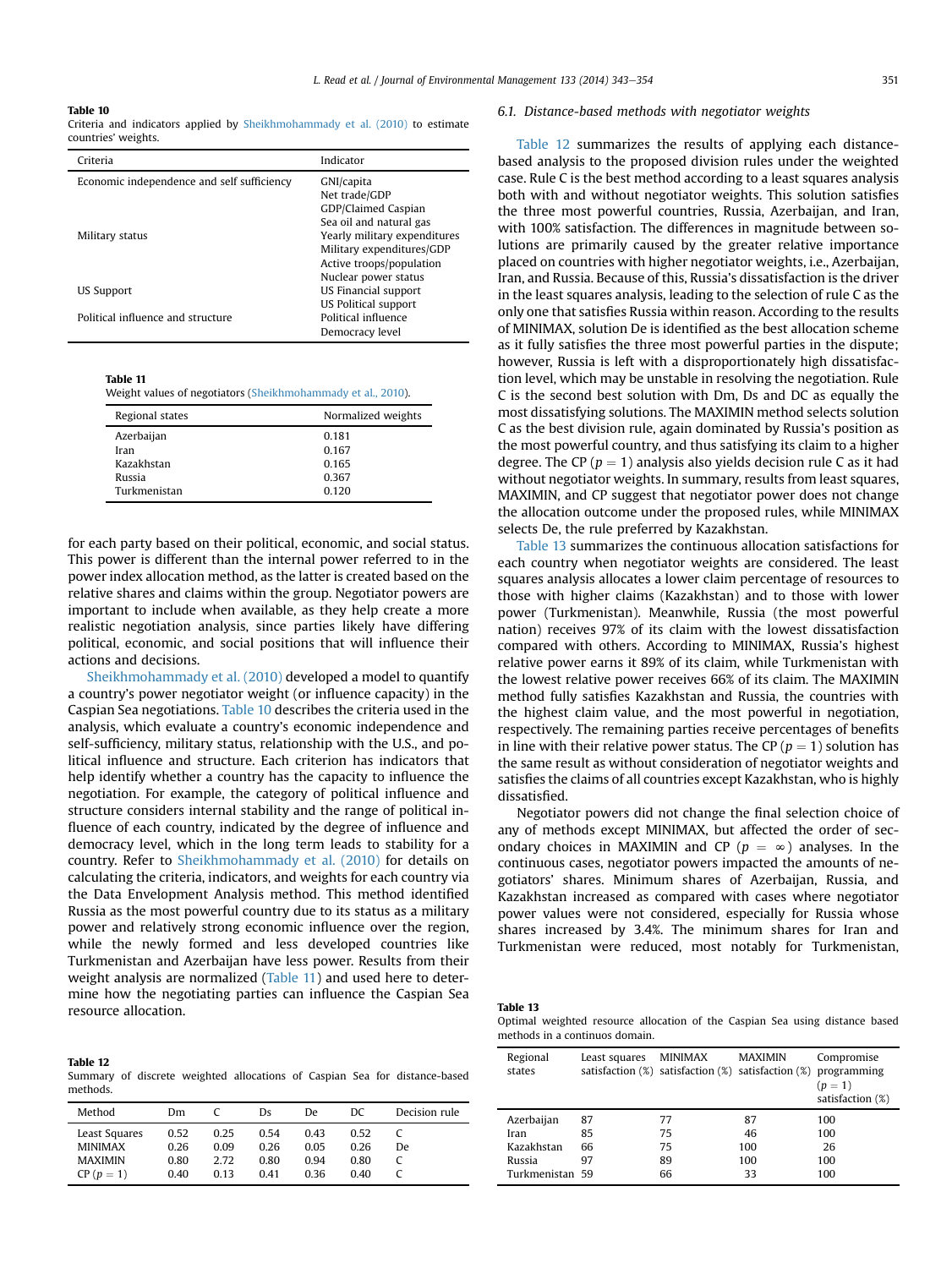Table 10

Criteria and indicators applied by [Sheikhmohammady et al. \(2010\)](#page-10-0) to estimate countries' weights.

| Criteria                                   | Indicator                    |
|--------------------------------------------|------------------------------|
| Economic independence and self sufficiency | GNI/capita                   |
|                                            | Net trade/GDP                |
|                                            | GDP/Claimed Caspian          |
|                                            | Sea oil and natural gas      |
| Military status                            | Yearly military expenditures |
|                                            | Military expenditures/GDP    |
|                                            | Active troops/population     |
|                                            | Nuclear power status         |
| US Support                                 | US Financial support         |
|                                            | US Political support         |
| Political influence and structure          | Political influence          |
|                                            | Democracy level              |

Table 11

| Weight values of negotiators (Sheikhmohammady et al., 2010). |  |  |  |  |
|--------------------------------------------------------------|--|--|--|--|
|--------------------------------------------------------------|--|--|--|--|

| Regional states | Normalized weights |  |  |
|-----------------|--------------------|--|--|
| Azerbaijan      | 0.181              |  |  |
| Iran            | 0.167              |  |  |
| Kazakhstan      | 0.165              |  |  |
| Russia          | 0.367              |  |  |
| Turkmenistan    | 0.120              |  |  |

for each party based on their political, economic, and social status. This power is different than the internal power referred to in the power index allocation method, as the latter is created based on the relative shares and claims within the group. Negotiator powers are important to include when available, as they help create a more realistic negotiation analysis, since parties likely have differing political, economic, and social positions that will influence their actions and decisions.

[Sheikhmohammady et al. \(2010\)](#page-10-0) developed a model to quantify a country's power negotiator weight (or influence capacity) in the Caspian Sea negotiations. Table 10 describes the criteria used in the analysis, which evaluate a country's economic independence and self-sufficiency, military status, relationship with the U.S., and political influence and structure. Each criterion has indicators that help identify whether a country has the capacity to influence the negotiation. For example, the category of political influence and structure considers internal stability and the range of political influence of each country, indicated by the degree of influence and democracy level, which in the long term leads to stability for a country. Refer to [Sheikhmohammady et al. \(2010\)](#page-10-0) for details on calculating the criteria, indicators, and weights for each country via the Data Envelopment Analysis method. This method identified Russia as the most powerful country due to its status as a military power and relatively strong economic influence over the region, while the newly formed and less developed countries like Turkmenistan and Azerbaijan have less power. Results from their weight analysis are normalized (Table 11) and used here to determine how the negotiating parties can influence the Caspian Sea resource allocation.

#### Table 12 Summary of discrete weighted allocations of Caspian Sea for distance-based

methods.

| Method         | Dm   |      | D٢   | De   | DC   | Decision rule |
|----------------|------|------|------|------|------|---------------|
| Least Squares  | 0.52 | 0.25 | 0.54 | 0.43 | 0.52 |               |
| <b>MINIMAX</b> | 0.26 | 0.09 | 0.26 | 0.05 | 0.26 | De            |
| <b>MAXIMIN</b> | 0.80 | 2.72 | 0.80 | 0.94 | 0.80 |               |
| $CP (p = 1)$   | 0.40 | 0.13 | 0.41 | 0.36 | 040  |               |

#### 6.1. Distance-based methods with negotiator weights

Table 12 summarizes the results of applying each distancebased analysis to the proposed division rules under the weighted case. Rule C is the best method according to a least squares analysis both with and without negotiator weights. This solution satisfies the three most powerful countries, Russia, Azerbaijan, and Iran, with 100% satisfaction. The differences in magnitude between solutions are primarily caused by the greater relative importance placed on countries with higher negotiator weights, i.e., Azerbaijan, Iran, and Russia. Because of this, Russia's dissatisfaction is the driver in the least squares analysis, leading to the selection of rule C as the only one that satisfies Russia within reason. According to the results of MINIMAX, solution De is identified as the best allocation scheme as it fully satisfies the three most powerful parties in the dispute; however, Russia is left with a disproportionately high dissatisfaction level, which may be unstable in resolving the negotiation. Rule C is the second best solution with Dm, Ds and DC as equally the most dissatisfying solutions. The MAXIMIN method selects solution C as the best division rule, again dominated by Russia's position as the most powerful country, and thus satisfying its claim to a higher degree. The CP ( $p = 1$ ) analysis also yields decision rule C as it had without negotiator weights. In summary, results from least squares, MAXIMIN, and CP suggest that negotiator power does not change the allocation outcome under the proposed rules, while MINIMAX selects De, the rule preferred by Kazakhstan.

Table 13 summarizes the continuous allocation satisfactions for each country when negotiator weights are considered. The least squares analysis allocates a lower claim percentage of resources to those with higher claims (Kazakhstan) and to those with lower power (Turkmenistan). Meanwhile, Russia (the most powerful nation) receives 97% of its claim with the lowest dissatisfaction compared with others. According to MINIMAX, Russia's highest relative power earns it 89% of its claim, while Turkmenistan with the lowest relative power receives 66% of its claim. The MAXIMIN method fully satisfies Kazakhstan and Russia, the countries with the highest claim value, and the most powerful in negotiation, respectively. The remaining parties receive percentages of benefits in line with their relative power status. The CP ( $p = 1$ ) solution has the same result as without consideration of negotiator weights and satisfies the claims of all countries except Kazakhstan, who is highly dissatisfied.

Negotiator powers did not change the final selection choice of any of methods except MINIMAX, but affected the order of secondary choices in MAXIMIN and CP ( $p = \infty$ ) analyses. In the continuous cases, negotiator powers impacted the amounts of negotiators' shares. Minimum shares of Azerbaijan, Russia, and Kazakhstan increased as compared with cases where negotiator power values were not considered, especially for Russia whose shares increased by 3.4%. The minimum shares for Iran and Turkmenistan were reduced, most notably for Turkmenistan,

Table 13

Optimal weighted resource allocation of the Caspian Sea using distance based methods in a continuos domain.

| Regional<br>states | Least squares | <b>MINIMAX</b> | <b>MAXIMIN</b><br>satisfaction $(\%)$ satisfaction $(\%)$ satisfaction $(\%)$ | Compromise<br>programming<br>$(p = 1)$<br>satisfaction (%) |
|--------------------|---------------|----------------|-------------------------------------------------------------------------------|------------------------------------------------------------|
| Azerbaijan         | 87            | 77             | 87                                                                            | 100                                                        |
| Iran               | 85            | 75             | 46                                                                            | 100                                                        |
| Kazakhstan         | 66            | 75             | 100                                                                           | 26                                                         |
| Russia             | 97            | 89             | 100                                                                           | 100                                                        |
| Turkmenistan 59    |               | 66             | 33                                                                            | 100                                                        |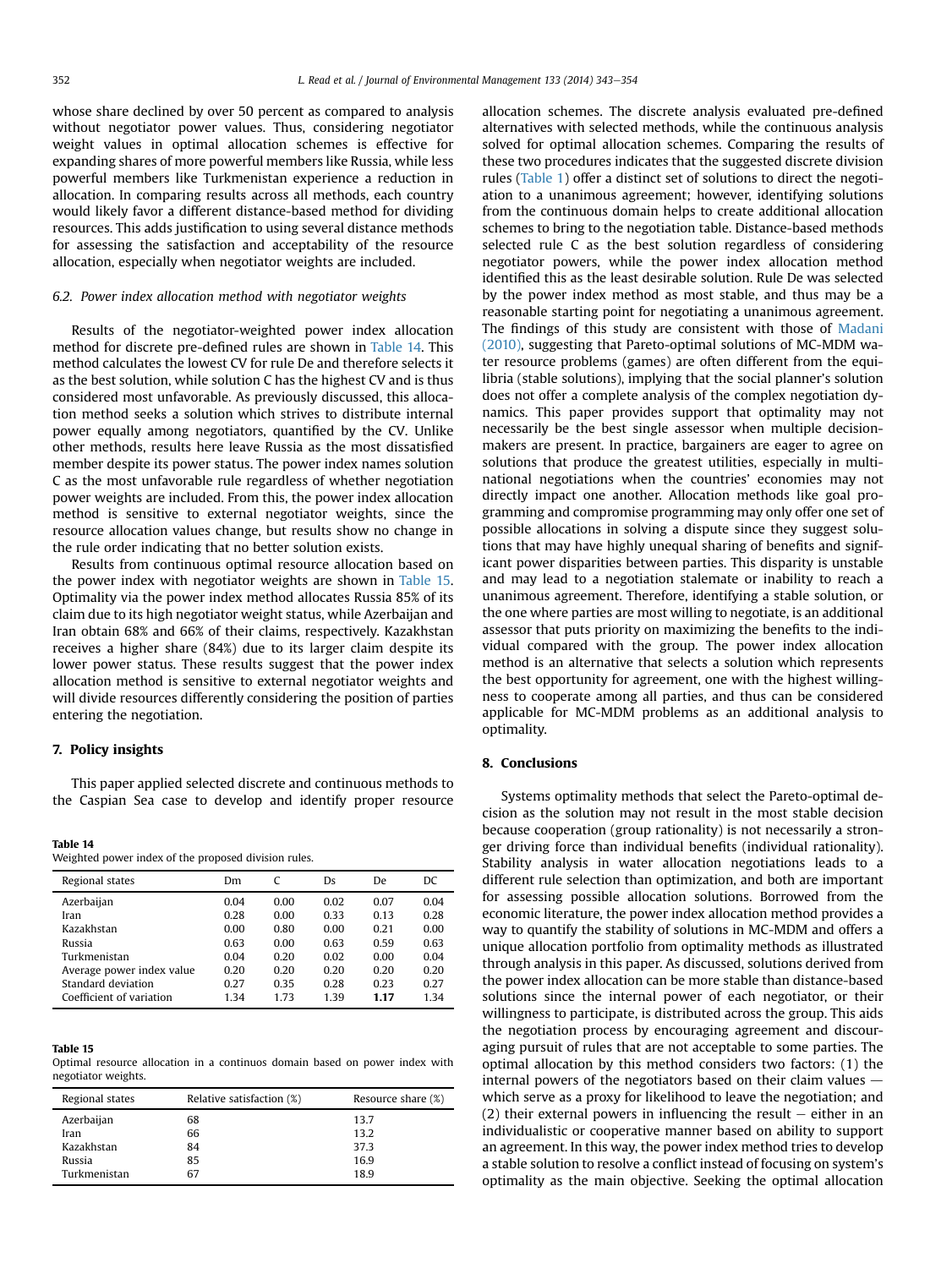whose share declined by over 50 percent as compared to analysis without negotiator power values. Thus, considering negotiator weight values in optimal allocation schemes is effective for expanding shares of more powerful members like Russia, while less powerful members like Turkmenistan experience a reduction in allocation. In comparing results across all methods, each country would likely favor a different distance-based method for dividing resources. This adds justification to using several distance methods for assessing the satisfaction and acceptability of the resource allocation, especially when negotiator weights are included.

## 6.2. Power index allocation method with negotiator weights

Results of the negotiator-weighted power index allocation method for discrete pre-defined rules are shown in Table 14. This method calculates the lowest CV for rule De and therefore selects it as the best solution, while solution C has the highest CV and is thus considered most unfavorable. As previously discussed, this allocation method seeks a solution which strives to distribute internal power equally among negotiators, quantified by the CV. Unlike other methods, results here leave Russia as the most dissatisfied member despite its power status. The power index names solution C as the most unfavorable rule regardless of whether negotiation power weights are included. From this, the power index allocation method is sensitive to external negotiator weights, since the resource allocation values change, but results show no change in the rule order indicating that no better solution exists.

Results from continuous optimal resource allocation based on the power index with negotiator weights are shown in Table 15. Optimality via the power index method allocates Russia 85% of its claim due to its high negotiator weight status, while Azerbaijan and Iran obtain 68% and 66% of their claims, respectively. Kazakhstan receives a higher share (84%) due to its larger claim despite its lower power status. These results suggest that the power index allocation method is sensitive to external negotiator weights and will divide resources differently considering the position of parties entering the negotiation.

## 7. Policy insights

This paper applied selected discrete and continuous methods to the Caspian Sea case to develop and identify proper resource

Table 14

Weighted power index of the proposed division rules.

| Regional states           | Dm   |      | Ds   | De.  | DC   |
|---------------------------|------|------|------|------|------|
| Azerbaijan                | 0.04 | 0.00 | 0.02 | 0.07 | 0.04 |
| Iran                      | 0.28 | 0.00 | 0.33 | 0.13 | 0.28 |
| Kazakhstan                | 0.00 | 0.80 | 0.00 | 0.21 | 0.00 |
| Russia                    | 0.63 | 0.00 | 0.63 | 0.59 | 0.63 |
| Turkmenistan              | 0.04 | 0.20 | 0.02 | 0.00 | 0.04 |
| Average power index value | 0.20 | 0.20 | 0.20 | 0.20 | 0.20 |
| Standard deviation        | 0.27 | 0.35 | 0.28 | 0.23 | 0.27 |
| Coefficient of variation  | 1.34 | 1.73 | 1.39 | 1.17 | 1.34 |

#### Table 15

Optimal resource allocation in a continuos domain based on power index with negotiator weights.

| Regional states | Relative satisfaction (%) | Resource share (%) |
|-----------------|---------------------------|--------------------|
| Azerbaijan      | 68                        | 13.7               |
| Iran            | 66                        | 13.2               |
| Kazakhstan      | 84                        | 37.3               |
| Russia          | 85                        | 16.9               |
| Turkmenistan    | 67                        | 18.9               |

allocation schemes. The discrete analysis evaluated pre-defined alternatives with selected methods, while the continuous analysis solved for optimal allocation schemes. Comparing the results of these two procedures indicates that the suggested discrete division rules ([Table 1](#page-5-0)) offer a distinct set of solutions to direct the negotiation to a unanimous agreement; however, identifying solutions from the continuous domain helps to create additional allocation schemes to bring to the negotiation table. Distance-based methods selected rule C as the best solution regardless of considering negotiator powers, while the power index allocation method identified this as the least desirable solution. Rule De was selected by the power index method as most stable, and thus may be a reasonable starting point for negotiating a unanimous agreement. The findings of this study are consistent with those of [Madani](#page-10-0) [\(2010\)](#page-10-0), suggesting that Pareto-optimal solutions of MC-MDM water resource problems (games) are often different from the equilibria (stable solutions), implying that the social planner's solution does not offer a complete analysis of the complex negotiation dynamics. This paper provides support that optimality may not necessarily be the best single assessor when multiple decisionmakers are present. In practice, bargainers are eager to agree on solutions that produce the greatest utilities, especially in multinational negotiations when the countries' economies may not directly impact one another. Allocation methods like goal programming and compromise programming may only offer one set of possible allocations in solving a dispute since they suggest solutions that may have highly unequal sharing of benefits and significant power disparities between parties. This disparity is unstable and may lead to a negotiation stalemate or inability to reach a unanimous agreement. Therefore, identifying a stable solution, or the one where parties are most willing to negotiate, is an additional assessor that puts priority on maximizing the benefits to the individual compared with the group. The power index allocation method is an alternative that selects a solution which represents the best opportunity for agreement, one with the highest willingness to cooperate among all parties, and thus can be considered applicable for MC-MDM problems as an additional analysis to optimality.

## 8. Conclusions

Systems optimality methods that select the Pareto-optimal decision as the solution may not result in the most stable decision because cooperation (group rationality) is not necessarily a stronger driving force than individual benefits (individual rationality). Stability analysis in water allocation negotiations leads to a different rule selection than optimization, and both are important for assessing possible allocation solutions. Borrowed from the economic literature, the power index allocation method provides a way to quantify the stability of solutions in MC-MDM and offers a unique allocation portfolio from optimality methods as illustrated through analysis in this paper. As discussed, solutions derived from the power index allocation can be more stable than distance-based solutions since the internal power of each negotiator, or their willingness to participate, is distributed across the group. This aids the negotiation process by encouraging agreement and discouraging pursuit of rules that are not acceptable to some parties. The optimal allocation by this method considers two factors: (1) the internal powers of the negotiators based on their claim values which serve as a proxy for likelihood to leave the negotiation; and (2) their external powers in influencing the result  $-$  either in an individualistic or cooperative manner based on ability to support an agreement. In this way, the power index method tries to develop a stable solution to resolve a conflict instead of focusing on system's optimality as the main objective. Seeking the optimal allocation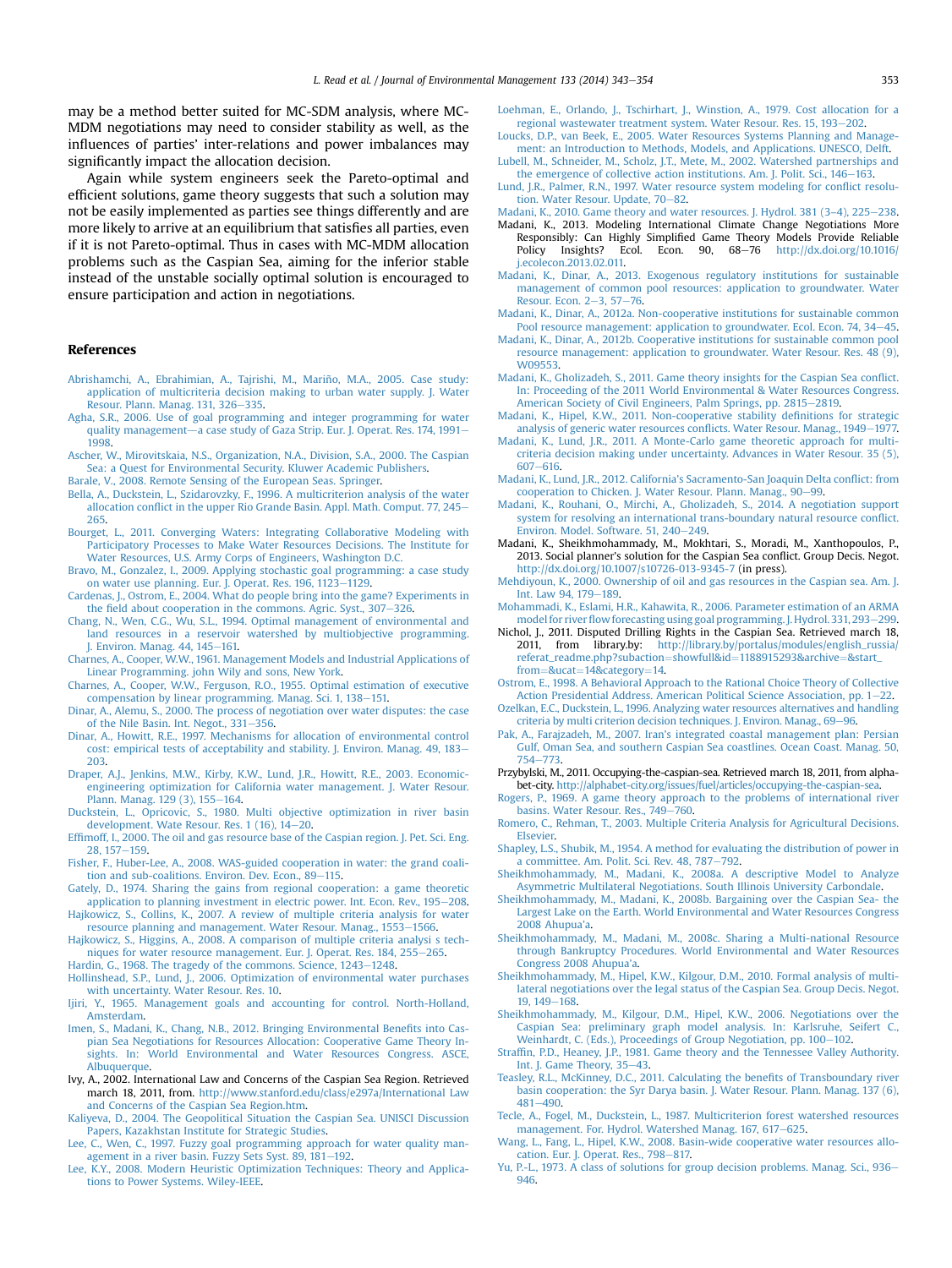<span id="page-10-0"></span>may be a method better suited for MC-SDM analysis, where MC-MDM negotiations may need to consider stability as well, as the influences of parties' inter-relations and power imbalances may significantly impact the allocation decision.

Again while system engineers seek the Pareto-optimal and efficient solutions, game theory suggests that such a solution may not be easily implemented as parties see things differently and are more likely to arrive at an equilibrium that satisfies all parties, even if it is not Pareto-optimal. Thus in cases with MC-MDM allocation problems such as the Caspian Sea, aiming for the inferior stable instead of the unstable socially optimal solution is encouraged to ensure participation and action in negotiations.

## References

- [Abrishamchi, A., Ebrahimian, A., Tajrishi, M., Mariño, M.A., 2005. Case study:](http://refhub.elsevier.com/S0301-4797(13)00741-X/sref1) [application of multicriteria decision making to urban water supply. J. Water](http://refhub.elsevier.com/S0301-4797(13)00741-X/sref1) [Resour. Plann. Manag. 131, 326](http://refhub.elsevier.com/S0301-4797(13)00741-X/sref1)-[335.](http://refhub.elsevier.com/S0301-4797(13)00741-X/sref1)
- [Agha, S.R., 2006. Use of goal programming and integer programming for water](http://refhub.elsevier.com/S0301-4797(13)00741-X/sref2) [quality management](http://refhub.elsevier.com/S0301-4797(13)00741-X/sref2)-[a case study of Gaza Strip. Eur. J. Operat. Res. 174, 1991](http://refhub.elsevier.com/S0301-4797(13)00741-X/sref2)-[1998](http://refhub.elsevier.com/S0301-4797(13)00741-X/sref2).
- [Ascher, W., Mirovitskaia, N.S., Organization, N.A., Division, S.A., 2000. The Caspian](http://refhub.elsevier.com/S0301-4797(13)00741-X/sref4) [Sea: a Quest for Environmental Security. Kluwer Academic Publishers](http://refhub.elsevier.com/S0301-4797(13)00741-X/sref4).
- [Barale, V., 2008. Remote Sensing of the European Seas. Springer.](http://refhub.elsevier.com/S0301-4797(13)00741-X/sref5)
- [Bella, A., Duckstein, L., Szidarovzky, F., 1996. A multicriterion analysis of the water](http://refhub.elsevier.com/S0301-4797(13)00741-X/sref6) allocation confl[ict in the upper Rio Grande Basin. Appl. Math. Comput. 77, 245](http://refhub.elsevier.com/S0301-4797(13)00741-X/sref6)-[265.](http://refhub.elsevier.com/S0301-4797(13)00741-X/sref6)
- [Bourget, L., 2011. Converging Waters: Integrating Collaborative Modeling with](http://refhub.elsevier.com/S0301-4797(13)00741-X/sref7) [Participatory Processes to Make Water Resources Decisions. The Institute for](http://refhub.elsevier.com/S0301-4797(13)00741-X/sref7) [Water Resources, U.S. Army Corps of Engineers, Washington D.C.](http://refhub.elsevier.com/S0301-4797(13)00741-X/sref7)
- [Bravo, M., Gonzalez, I., 2009. Applying stochastic goal programming: a case study](http://refhub.elsevier.com/S0301-4797(13)00741-X/sref9) [on water use planning. Eur. J. Operat. Res. 196, 1123](http://refhub.elsevier.com/S0301-4797(13)00741-X/sref9)-[1129](http://refhub.elsevier.com/S0301-4797(13)00741-X/sref9).
- [Cardenas, J., Ostrom, E., 2004. What do people bring into the game? Experiments in](http://refhub.elsevier.com/S0301-4797(13)00741-X/sref10) the field about cooperation in the commons. Agric. Syst.,  $307-326$ .
- [Chang, N., Wen, C.G., Wu, S.L., 1994. Optimal management of environmental and](http://refhub.elsevier.com/S0301-4797(13)00741-X/sref11) [land resources in a reservoir watershed by multiobjective programming.](http://refhub.elsevier.com/S0301-4797(13)00741-X/sref11) [J. Environ. Manag. 44, 145](http://refhub.elsevier.com/S0301-4797(13)00741-X/sref11)-[161.](http://refhub.elsevier.com/S0301-4797(13)00741-X/sref11)
- [Charnes, A., Cooper, W.W., 1961. Management Models and Industrial Applications of](http://refhub.elsevier.com/S0301-4797(13)00741-X/sref12) [Linear Programming. john Wily and sons, New York](http://refhub.elsevier.com/S0301-4797(13)00741-X/sref12).
- [Charnes, A., Cooper, W.W., Ferguson, R.O., 1955. Optimal estimation of executive](http://refhub.elsevier.com/S0301-4797(13)00741-X/sref13) [compensation by linear programming. Manag. Sci. 1, 138](http://refhub.elsevier.com/S0301-4797(13)00741-X/sref13)-[151.](http://refhub.elsevier.com/S0301-4797(13)00741-X/sref13)
- [Dinar, A., Alemu, S., 2000. The process of negotiation over water disputes: the case](http://refhub.elsevier.com/S0301-4797(13)00741-X/sref14) [of the Nile Basin. Int. Negot., 331](http://refhub.elsevier.com/S0301-4797(13)00741-X/sref14)-[356](http://refhub.elsevier.com/S0301-4797(13)00741-X/sref14).
- [Dinar, A., Howitt, R.E., 1997. Mechanisms for allocation of environmental control](http://refhub.elsevier.com/S0301-4797(13)00741-X/sref15) [cost: empirical tests of acceptability and stability. J. Environ. Manag. 49, 183](http://refhub.elsevier.com/S0301-4797(13)00741-X/sref15)– [203.](http://refhub.elsevier.com/S0301-4797(13)00741-X/sref15)
- [Draper, A.J., Jenkins, M.W., Kirby, K.W., Lund, J.R., Howitt, R.E., 2003. Economic](http://refhub.elsevier.com/S0301-4797(13)00741-X/sref16)[engineering optimization for California water management. J. Water Resour.](http://refhub.elsevier.com/S0301-4797(13)00741-X/sref16) [Plann. Manag. 129 \(3\), 155](http://refhub.elsevier.com/S0301-4797(13)00741-X/sref16)-[164.](http://refhub.elsevier.com/S0301-4797(13)00741-X/sref16)
- [Duckstein, L., Opricovic, S., 1980. Multi objective optimization in river basin](http://refhub.elsevier.com/S0301-4797(13)00741-X/sref17) development. Wate Resour. Res.  $1(16)$ ,  $14-20$ .
- Effi[moff, I., 2000. The oil and gas resource base of the Caspian region. J. Pet. Sci. Eng.](http://refhub.elsevier.com/S0301-4797(13)00741-X/sref18)  $28, 157 - 159$  $28, 157 - 159$
- [Fisher, F., Huber-Lee, A., 2008. WAS-guided cooperation in water: the grand coali](http://refhub.elsevier.com/S0301-4797(13)00741-X/sref20)[tion and sub-coalitions. Environ. Dev. Econ., 89](http://refhub.elsevier.com/S0301-4797(13)00741-X/sref20)–[115](http://refhub.elsevier.com/S0301-4797(13)00741-X/sref20).
- [Gately, D., 1974. Sharing the gains from regional cooperation: a game theoretic](http://refhub.elsevier.com/S0301-4797(13)00741-X/sref22) [application to planning investment in electric power. Int. Econ. Rev., 195](http://refhub.elsevier.com/S0301-4797(13)00741-X/sref22)-[208](http://refhub.elsevier.com/S0301-4797(13)00741-X/sref22).
- [Hajkowicz, S., Collins, K., 2007. A review of multiple criteria analysis for water](http://refhub.elsevier.com/S0301-4797(13)00741-X/sref23) [resource planning and management. Water Resour. Manag., 1553](http://refhub.elsevier.com/S0301-4797(13)00741-X/sref23)e[1566.](http://refhub.elsevier.com/S0301-4797(13)00741-X/sref23) [Hajkowicz, S., Higgins, A., 2008. A comparison of multiple criteria analysi s tech-](http://refhub.elsevier.com/S0301-4797(13)00741-X/sref24)
- [niques for water resource management. Eur. J. Operat. Res. 184, 255](http://refhub.elsevier.com/S0301-4797(13)00741-X/sref24)-[265](http://refhub.elsevier.com/S0301-4797(13)00741-X/sref24).
- [Hardin, G., 1968. The tragedy of the commons. Science, 1243](http://refhub.elsevier.com/S0301-4797(13)00741-X/sref25)-[1248](http://refhub.elsevier.com/S0301-4797(13)00741-X/sref25).
- [Hollinshead, S.P., Lund, J., 2006. Optimization of environmental water purchases](http://refhub.elsevier.com/S0301-4797(13)00741-X/sref26) [with uncertainty. Water Resour. Res. 10.](http://refhub.elsevier.com/S0301-4797(13)00741-X/sref26)
- [Ijiri, Y., 1965. Management goals and accounting for control. North-Holland,](http://refhub.elsevier.com/S0301-4797(13)00741-X/sref27) [Amsterdam.](http://refhub.elsevier.com/S0301-4797(13)00741-X/sref27)
- [Imen, S., Madani, K., Chang, N.B., 2012. Bringing Environmental Bene](http://refhub.elsevier.com/S0301-4797(13)00741-X/sref28)fits into Cas[pian Sea Negotiations for Resources Allocation: Cooperative Game Theory In](http://refhub.elsevier.com/S0301-4797(13)00741-X/sref28)[sights. In: World Environmental and Water Resources Congress. ASCE,](http://refhub.elsevier.com/S0301-4797(13)00741-X/sref28) [Albuquerque](http://refhub.elsevier.com/S0301-4797(13)00741-X/sref28)
- Ivy, A., 2002. International Law and Concerns of the Caspian Sea Region. Retrieved march 18, 2011, from. [http://www.stanford.edu/class/e297a/International Law](http://www.stanford.edu/class/e297a/International%20Law%20and%20Concerns%20of%20the%20Caspian%20Sea%20Region.htm) [and Concerns of the Caspian Sea Region.htm](http://www.stanford.edu/class/e297a/International%20Law%20and%20Concerns%20of%20the%20Caspian%20Sea%20Region.htm).
- [Kaliyeva, D., 2004. The Geopolitical Situation the Caspian Sea. UNISCI Discussion](http://refhub.elsevier.com/S0301-4797(13)00741-X/sref30) [Papers, Kazakhstan Institute for Strategic Studies.](http://refhub.elsevier.com/S0301-4797(13)00741-X/sref30)
- [Lee, C., Wen, C., 1997. Fuzzy goal programming approach for water quality man](http://refhub.elsevier.com/S0301-4797(13)00741-X/sref31)[agement in a river basin. Fuzzy Sets Syst. 89, 181](http://refhub.elsevier.com/S0301-4797(13)00741-X/sref31)-[192.](http://refhub.elsevier.com/S0301-4797(13)00741-X/sref31)
- [Lee, K.Y., 2008. Modern Heuristic Optimization Techniques: Theory and Applica](http://refhub.elsevier.com/S0301-4797(13)00741-X/sref32)[tions to Power Systems. Wiley-IEEE](http://refhub.elsevier.com/S0301-4797(13)00741-X/sref32).
- [Loehman, E., Orlando, J., Tschirhart, J., Winstion, A., 1979. Cost allocation for a](http://refhub.elsevier.com/S0301-4797(13)00741-X/sref33) [regional wastewater treatment system. Water Resour. Res. 15, 193](http://refhub.elsevier.com/S0301-4797(13)00741-X/sref33)-[202.](http://refhub.elsevier.com/S0301-4797(13)00741-X/sref33)
- [Loucks, D.P., van Beek, E., 2005. Water Resources Systems Planning and Manage](http://refhub.elsevier.com/S0301-4797(13)00741-X/sref34)[ment: an Introduction to Methods, Models, and Applications. UNESCO, Delft](http://refhub.elsevier.com/S0301-4797(13)00741-X/sref34).
- [Lubell, M., Schneider, M., Scholz, J.T., Mete, M., 2002. Watershed partnerships and](http://refhub.elsevier.com/S0301-4797(13)00741-X/sref35) [the emergence of collective action institutions. Am. J. Polit. Sci., 146](http://refhub.elsevier.com/S0301-4797(13)00741-X/sref35)-[163](http://refhub.elsevier.com/S0301-4797(13)00741-X/sref35).
- [Lund, J.R., Palmer, R.N., 1997. Water resource system modeling for con](http://refhub.elsevier.com/S0301-4797(13)00741-X/sref36)flict resolu[tion. Water Resour. Update, 70](http://refhub.elsevier.com/S0301-4797(13)00741-X/sref36)-[82](http://refhub.elsevier.com/S0301-4797(13)00741-X/sref36).
- Madani, K., 2010. Game theory and water resources. I. Hydrol. 381 (3-4), 225-[238](http://refhub.elsevier.com/S0301-4797(13)00741-X/sref37). Madani, K., 2013. Modeling International Climate Change Negotiations More Responsibly: Can Highly Simplified Game Theory Models Provide Reliable<br>Policy Insights? Ecol. Econ. 90, 68–76 [http://dx.doi.org/10.1016/](http://dx.doi.org/10.1016/j.ecolecon.2013.02.011) [j.ecolecon.2013.02.011.](http://dx.doi.org/10.1016/j.ecolecon.2013.02.011)
- [Madani, K., Dinar, A., 2013. Exogenous regulatory institutions for sustainable](http://refhub.elsevier.com/S0301-4797(13)00741-X/sref38) [management of common pool resources: application to groundwater. Water](http://refhub.elsevier.com/S0301-4797(13)00741-X/sref38) [Resour. Econ. 2](http://refhub.elsevier.com/S0301-4797(13)00741-X/sref38)-[3, 57](http://refhub.elsevier.com/S0301-4797(13)00741-X/sref38)-[76.](http://refhub.elsevier.com/S0301-4797(13)00741-X/sref38)
- [Madani, K., Dinar, A., 2012a. Non-cooperative institutions for sustainable common](http://refhub.elsevier.com/S0301-4797(13)00741-X/sref39) [Pool resource management: application to groundwater. Ecol. Econ. 74, 34](http://refhub.elsevier.com/S0301-4797(13)00741-X/sref39)-[45](http://refhub.elsevier.com/S0301-4797(13)00741-X/sref39).
- [Madani, K., Dinar, A., 2012b. Cooperative institutions for sustainable common pool](http://refhub.elsevier.com/S0301-4797(13)00741-X/sref40) [resource management: application to groundwater. Water Resour. Res. 48 \(9\),](http://refhub.elsevier.com/S0301-4797(13)00741-X/sref40) [W09553](http://refhub.elsevier.com/S0301-4797(13)00741-X/sref40).
- [Madani, K., Gholizadeh, S., 2011. Game theory insights for the Caspian Sea con](http://refhub.elsevier.com/S0301-4797(13)00741-X/sref41)flict. [In: Proceeding of the 2011 World Environmental & Water Resources Congress.](http://refhub.elsevier.com/S0301-4797(13)00741-X/sref41) [American Society of Civil Engineers, Palm Springs, pp. 2815](http://refhub.elsevier.com/S0301-4797(13)00741-X/sref41)-[2819](http://refhub.elsevier.com/S0301-4797(13)00741-X/sref41).
- [Madani, K., Hipel, K.W., 2011. Non-cooperative stability de](http://refhub.elsevier.com/S0301-4797(13)00741-X/sref43)finitions for strategic<br>[analysis of generic water resources con](http://refhub.elsevier.com/S0301-4797(13)00741-X/sref43)flicts. Water Resour. Manag., 1949–[1977.](http://refhub.elsevier.com/S0301-4797(13)00741-X/sref43)
- [Madani, K., Lund, J.R., 2011. A Monte-Carlo game theoretic approach for multi](http://refhub.elsevier.com/S0301-4797(13)00741-X/sref73)[criteria decision making under uncertainty. Advances in Water Resour. 35 \(5\),](http://refhub.elsevier.com/S0301-4797(13)00741-X/sref73) [607](http://refhub.elsevier.com/S0301-4797(13)00741-X/sref73)-[616](http://refhub.elsevier.com/S0301-4797(13)00741-X/sref73)
- [Madani, K., Lund, J.R., 2012. California](http://refhub.elsevier.com/S0301-4797(13)00741-X/sref44)'s Sacramento-San Joaquin Delta conflict: from [cooperation to Chicken. J. Water Resour. Plann. Manag., 90](http://refhub.elsevier.com/S0301-4797(13)00741-X/sref44)-[99.](http://refhub.elsevier.com/S0301-4797(13)00741-X/sref44)
- [Madani, K., Rouhani, O., Mirchi, A., Gholizadeh, S., 2014. A negotiation support](http://refhub.elsevier.com/S0301-4797(13)00741-X/sref74) [system for resolving an international trans-boundary natural resource con](http://refhub.elsevier.com/S0301-4797(13)00741-X/sref74)flict. [Environ. Model. Software. 51, 240](http://refhub.elsevier.com/S0301-4797(13)00741-X/sref74)-[249](http://refhub.elsevier.com/S0301-4797(13)00741-X/sref74).
- Madani, K., Sheikhmohammady, M., Mokhtari, S., Moradi, M., Xanthopoulos, P., 2013. Social planner's solution for the Caspian Sea conflict. Group Decis. Negot. <http://dx.doi.org/10.1007/s10726-013-9345-7> (in press).
- [Mehdiyoun, K., 2000. Ownership of oil and gas resources in the Caspian sea. Am. J.](http://refhub.elsevier.com/S0301-4797(13)00741-X/sref46) [Int. Law 94, 179](http://refhub.elsevier.com/S0301-4797(13)00741-X/sref46)-[189](http://refhub.elsevier.com/S0301-4797(13)00741-X/sref46).
- [Mohammadi, K., Eslami, H.R., Kahawita, R., 2006. Parameter estimation of an ARMA](http://refhub.elsevier.com/S0301-4797(13)00741-X/sref47) model for river fl[ow forecasting using goal programming. J. Hydrol. 331, 293](http://refhub.elsevier.com/S0301-4797(13)00741-X/sref47)-[299](http://refhub.elsevier.com/S0301-4797(13)00741-X/sref47).
- Nichol, J., 2011. Disputed Drilling Rights in the Caspian Sea. Retrieved march 18, 2011. from library.by: http://library.by/portalus/modules/english\_russia/ [http://library.by/portalus/modules/english\\_russia/](http://library.by/portalus/modules/english_russia/referat_readme.php?subaction=showfull%26id=1188915293%26archive=%26start_from=%26ucat=14%26category=14) [referat\\_readme.php?subaction](http://library.by/portalus/modules/english_russia/referat_readme.php?subaction=showfull%26id=1188915293%26archive=%26start_from=%26ucat=14%26category=14)=[showfull&id](http://library.by/portalus/modules/english_russia/referat_readme.php?subaction=showfull%26id=1188915293%26archive=%26start_from=%26ucat=14%26category=14)=[1188915293&archive](http://library.by/portalus/modules/english_russia/referat_readme.php?subaction=showfull%26id=1188915293%26archive=%26start_from=%26ucat=14%26category=14)=[&start\\_](http://library.by/portalus/modules/english_russia/referat_readme.php?subaction=showfull%26id=1188915293%26archive=%26start_from=%26ucat=14%26category=14) [from](http://library.by/portalus/modules/english_russia/referat_readme.php?subaction=showfull%26id=1188915293%26archive=%26start_from=%26ucat=14%26category=14)=[&ucat](http://library.by/portalus/modules/english_russia/referat_readme.php?subaction=showfull%26id=1188915293%26archive=%26start_from=%26ucat=14%26category=14)=[14&category](http://library.by/portalus/modules/english_russia/referat_readme.php?subaction=showfull%26id=1188915293%26archive=%26start_from=%26ucat=14%26category=14)=[14.](http://library.by/portalus/modules/english_russia/referat_readme.php?subaction=showfull%26id=1188915293%26archive=%26start_from=%26ucat=14%26category=14)
- [Ostrom, E., 1998. A Behavioral Approach to the Rational Choice Theory of Collective](http://refhub.elsevier.com/S0301-4797(13)00741-X/sref49) [Action Presidential Address. American Political Science Association, pp. 1](http://refhub.elsevier.com/S0301-4797(13)00741-X/sref49)-[22](http://refhub.elsevier.com/S0301-4797(13)00741-X/sref49).
- [Ozelkan, E.C., Duckstein, L., 1996. Analyzing water resources alternatives and handling](http://refhub.elsevier.com/S0301-4797(13)00741-X/sref50) [criteria by multi criterion decision techniques. J. Environ. Manag., 69](http://refhub.elsevier.com/S0301-4797(13)00741-X/sref50)-[96](http://refhub.elsevier.com/S0301-4797(13)00741-X/sref50).
- Pak, A., Farajzadeh, M., 2007. Iran'[s integrated coastal management plan: Persian](http://refhub.elsevier.com/S0301-4797(13)00741-X/sref51) [Gulf, Oman Sea, and southern Caspian Sea coastlines. Ocean Coast. Manag. 50,](http://refhub.elsevier.com/S0301-4797(13)00741-X/sref51) [754](http://refhub.elsevier.com/S0301-4797(13)00741-X/sref51)-773
- Przybylski, M., 2011. Occupying-the-caspian-sea. Retrieved march 18, 2011, from alphabet-city. <http://alphabet-city.org/issues/fuel/articles/occupying-the-caspian-sea>.
- [Rogers, P., 1969. A game theory approach to the problems of international river](http://refhub.elsevier.com/S0301-4797(13)00741-X/sref53) [basins. Water Resour. Res., 749](http://refhub.elsevier.com/S0301-4797(13)00741-X/sref53)-[760](http://refhub.elsevier.com/S0301-4797(13)00741-X/sref53).
- [Romero, C., Rehman, T., 2003. Multiple Criteria Analysis for Agricultural Decisions.](http://refhub.elsevier.com/S0301-4797(13)00741-X/sref54) [Elsevier.](http://refhub.elsevier.com/S0301-4797(13)00741-X/sref54)
- [Shapley, L.S., Shubik, M., 1954. A method for evaluating the distribution of power in](http://refhub.elsevier.com/S0301-4797(13)00741-X/sref56) [a committee. Am. Polit. Sci. Rev. 48, 787](http://refhub.elsevier.com/S0301-4797(13)00741-X/sref56)-[792.](http://refhub.elsevier.com/S0301-4797(13)00741-X/sref56)
- [Sheikhmohammady, M., Madani, K., 2008a. A descriptive Model to Analyze](http://refhub.elsevier.com/S0301-4797(13)00741-X/sref57) [Asymmetric Multilateral Negotiations. South Illinois University Carbondale](http://refhub.elsevier.com/S0301-4797(13)00741-X/sref57).
- [Sheikhmohammady, M., Madani, K., 2008b. Bargaining over the Caspian Sea- the](http://refhub.elsevier.com/S0301-4797(13)00741-X/sref58) [Largest Lake on the Earth. World Environmental and Water Resources Congress](http://refhub.elsevier.com/S0301-4797(13)00741-X/sref58) [2008 Ahupua](http://refhub.elsevier.com/S0301-4797(13)00741-X/sref58)'a.
- [Sheikhmohammady, M., Madani, M., 2008c. Sharing a Multi-national Resource](http://refhub.elsevier.com/S0301-4797(13)00741-X/sref59) [through Bankruptcy Procedures. World Environmental and Water Resources](http://refhub.elsevier.com/S0301-4797(13)00741-X/sref59) [Congress 2008 Ahupua](http://refhub.elsevier.com/S0301-4797(13)00741-X/sref59)'a.
- [Sheikhmohammady, M., Hipel, K.W., Kilgour, D.M., 2010. Formal analysis of multi](http://refhub.elsevier.com/S0301-4797(13)00741-X/sref60)[lateral negotiations over the legal status of the Caspian Sea. Group Decis. Negot.](http://refhub.elsevier.com/S0301-4797(13)00741-X/sref60)  $19.149 - 168.$  $19.149 - 168.$
- [Sheikhmohammady, M., Kilgour, D.M., Hipel, K.W., 2006. Negotiations over the](http://refhub.elsevier.com/S0301-4797(13)00741-X/sref61) [Caspian Sea: preliminary graph model analysis. In: Karlsruhe, Seifert C.,](http://refhub.elsevier.com/S0301-4797(13)00741-X/sref61) [Weinhardt, C. \(Eds.\), Proceedings of Group Negotiation, pp. 100](http://refhub.elsevier.com/S0301-4797(13)00741-X/sref61)-[102.](http://refhub.elsevier.com/S0301-4797(13)00741-X/sref61)
- Straffi[n, P.D., Heaney, J.P., 1981. Game theory and the Tennessee Valley Authority.](http://refhub.elsevier.com/S0301-4797(13)00741-X/sref63) [Int. J. Game Theory, 35](http://refhub.elsevier.com/S0301-4797(13)00741-X/sref63)-[43.](http://refhub.elsevier.com/S0301-4797(13)00741-X/sref63)
- [Teasley, R.L., McKinney, D.C., 2011. Calculating the bene](http://refhub.elsevier.com/S0301-4797(13)00741-X/sref64)fits of Transboundary river [basin cooperation: the Syr Darya basin. J. Water Resour. Plann. Manag. 137 \(6\),](http://refhub.elsevier.com/S0301-4797(13)00741-X/sref64) [481](http://refhub.elsevier.com/S0301-4797(13)00741-X/sref64)-[490.](http://refhub.elsevier.com/S0301-4797(13)00741-X/sref64)
- [Tecle, A., Fogel, M., Duckstein, L., 1987. Multicriterion forest watershed resources](http://refhub.elsevier.com/S0301-4797(13)00741-X/sref65) [management. For. Hydrol. Watershed Manag. 167, 617](http://refhub.elsevier.com/S0301-4797(13)00741-X/sref65)-[625.](http://refhub.elsevier.com/S0301-4797(13)00741-X/sref65)
- [Wang, L., Fang, L., Hipel, K.W., 2008. Basin-wide cooperative water resources allo](http://refhub.elsevier.com/S0301-4797(13)00741-X/sref66)[cation. Eur. J. Operat. Res., 798](http://refhub.elsevier.com/S0301-4797(13)00741-X/sref66)-[817.](http://refhub.elsevier.com/S0301-4797(13)00741-X/sref66)
- [Yu, P.-L., 1973. A class of solutions for group decision problems. Manag. Sci., 936](http://refhub.elsevier.com/S0301-4797(13)00741-X/sref67) [946.](http://refhub.elsevier.com/S0301-4797(13)00741-X/sref67)